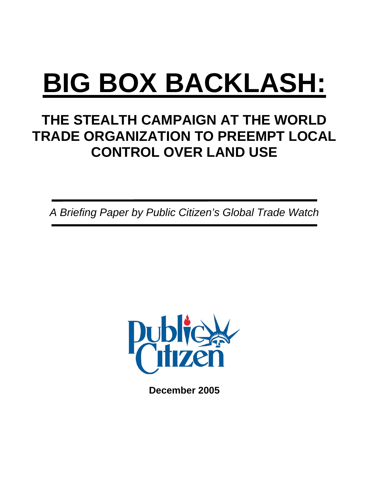# **BIG BOX BACKLASH:**

# **THE STEALTH CAMPAIGN AT THE WORLD TRADE ORGANIZATION TO PREEMPT LOCAL CONTROL OVER LAND USE**

*A Briefing Paper by Public Citizen's Global Trade Watch* 



**December 2005**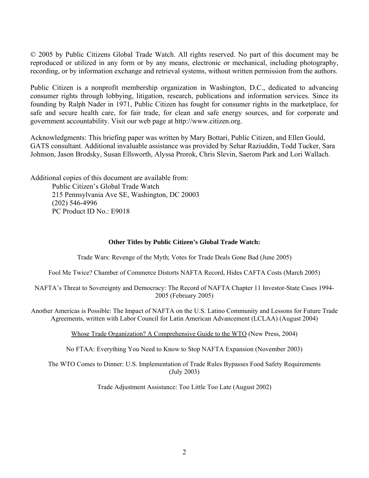© 2005 by Public Citizens Global Trade Watch. All rights reserved. No part of this document may be reproduced or utilized in any form or by any means, electronic or mechanical, including photography, recording, or by information exchange and retrieval systems, without written permission from the authors.

Public Citizen is a nonprofit membership organization in Washington, D.C., dedicated to advancing consumer rights through lobbying, litigation, research, publications and information services. Since its founding by Ralph Nader in 1971, Public Citizen has fought for consumer rights in the marketplace, for safe and secure health care, for fair trade, for clean and safe energy sources, and for corporate and government accountability. Visit our web page at http://www.citizen.org.

Acknowledgments: This briefing paper was written by Mary Bottari, Public Citizen, and Ellen Gould, GATS consultant. Additional invaluable assistance was provided by Sehar Raziuddin, Todd Tucker, Sara Johnson, Jason Brodsky, Susan Ellsworth, Alyssa Prorok, Chris Slevin, Saerom Park and Lori Wallach.

Additional copies of this document are available from: Public Citizen's Global Trade Watch 215 Pennsylvania Ave SE, Washington, DC 20003 (202) 546-4996 PC Product ID No.: E9018

#### **Other Titles by Public Citizen's Global Trade Watch:**

Trade Wars: Revenge of the Myth; Votes for Trade Deals Gone Bad (June 2005)

Fool Me Twice? Chamber of Commerce Distorts NAFTA Record, Hides CAFTA Costs (March 2005)

NAFTA's Threat to Sovereignty and Democracy: The Record of NAFTA Chapter 11 Investor-State Cases 1994- 2005 (February 2005)

Another Americas is Possible: The Impact of NAFTA on the U.S. Latino Community and Lessons for Future Trade Agreements, written with Labor Council for Latin American Advancement (LCLAA) (August 2004)

Whose Trade Organization? A Comprehensive Guide to the WTO (New Press, 2004)

No FTAA: Everything You Need to Know to Stop NAFTA Expansion (November 2003)

The WTO Comes to Dinner: U.S. Implementation of Trade Rules Bypasses Food Safety Requirements (July 2003)

Trade Adjustment Assistance: Too Little Too Late (August 2002)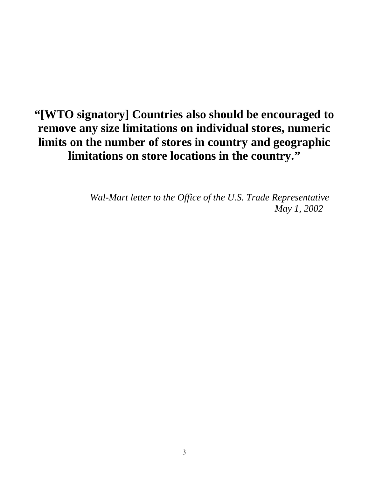## **"[WTO signatory] Countries also should be encouraged to remove any size limitations on individual stores, numeric limits on the number of stores in country and geographic limitations on store locations in the country."**

*Wal-Mart letter to the Office of the U.S. Trade Representative May 1, 2002*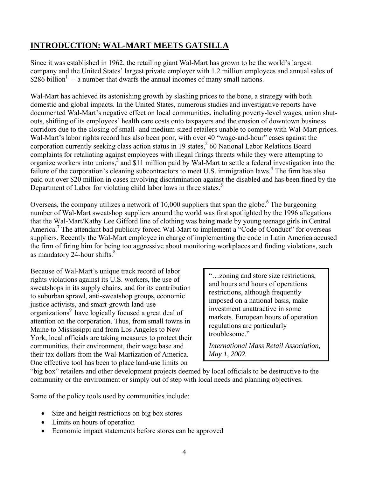## **INTRODUCTION: WAL-MART MEETS GATSILLA**

Since it was established in 1962, the retailing giant Wal-Mart has grown to be the world's largest company and the United States' largest private employer with 1.2 million employees and annual sales of  $$286$  billion<sup>1</sup> – a number that dwarfs the annual incomes of many small nations.

Wal-Mart has achieved its astonishing growth by slashing prices to the bone, a strategy with both domestic and global impacts. In the United States, numerous studies and investigative reports have documented Wal-Mart's negative effect on local communities, including poverty-level wages, union shutouts, shifting of its employees' health care costs onto taxpayers and the erosion of downtown business corridors due to the closing of small- and medium-sized retailers unable to compete with Wal-Mart prices. Wal-Mart's labor rights record has also been poor, with over 40 "wage-and-hour" cases against the corporation currently seeking class action status in 19 states,  $260$  $260$  National Labor Relations Board complaints for retaliating against employees with illegal firings threats while they were attempting to organize workers into unions,<sup>3</sup> and \$11 million paid by Wal-Mart to settle a federal investigation into the failure of the corporation's cleaning subcontractors to meet U.S. immigration laws.<sup>4</sup> The firm has also paid out over \$20 million in cases involving discrimination against the disabled and has been fined by the Department of Labor for violating child labor laws in three states.<sup>5</sup>

Overseas, the company utilizes a network of 10,000 suppliers that span the globe.<sup>6</sup> The burgeoning number of Wal-Mart sweatshop suppliers around the world was first spotlighted by the 1996 allegations that the Wal-Mart/Kathy Lee Gifford line of clothing was being made by young teenage girls in Central America.<sup>7</sup> The attendant bad publicity forced Wal-Mart to implement a "Code of Conduct" for overseas suppliers. Recently the Wal-Mart employee in charge of implementing the code in Latin America accused the firm of firing him for being too aggressive about monitoring workplaces and finding violations, such as mandatory  $24$ -hour shifts.<sup>8</sup>

Because of Wal-Mart's unique track record of labor rights violations against its U.S. workers, the use of sweatshops in its supply chains, and for its contribution to suburban sprawl, anti-sweatshop groups, economic justice activists, and smart-growth land-use organizations<sup>[9](#page-32-8)</sup> have logically focused a great deal of attention on the corporation. Thus, from small towns in Maine to Mississippi and from Los Angeles to New York, local officials are taking measures to protect their communities, their environment, their wage base and their tax dollars from the Wal-Martization of America. One effective tool has been to place land-use limits on

"…zoning and store size restrictions, and hours and hours of operations restrictions, although frequently imposed on a national basis, make investment unattractive in some markets. European hours of operation regulations are particularly troublesome"

*International Mass Retail Association, May 1, 2002.*

"big box" retailers and other development projects deemed by local officials to be destructive to the community or the environment or simply out of step with local needs and planning objectives.

Some of the policy tools used by communities include:

- Size and height restrictions on big box stores
- Limits on hours of operation
- Economic impact statements before stores can be approved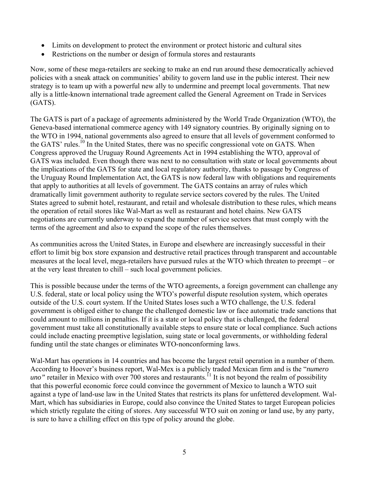- Limits on development to protect the environment or protect historic and cultural sites
- Restrictions on the number or design of formula stores and restaurants

Now, some of these mega-retailers are seeking to make an end run around these democratically achieved policies with a sneak attack on communities' ability to govern land use in the public interest. Their new strategy is to team up with a powerful new ally to undermine and preempt local governments. That new ally is a little-known international trade agreement called the General Agreement on Trade in Services (GATS).

The GATS is part of a package of agreements administered by the World Trade Organization (WTO), the Geneva-based international commerce agency with 149 signatory countries. By originally signing on to the WTO in 1994, national governments also agreed to ensure that all levels of government conformed to the GATS' rules.<sup>10</sup> In the United States, there was no specific congressional vote on GATS. When Congress approved the Uruguay Round Agreements Act in 1994 establishing the WTO, approval of GATS was included. Even though there was next to no consultation with state or local governments about the implications of the GATS for state and local regulatory authority, thanks to passage by Congress of the Uruguay Round Implementation Act, the GATS is now federal law with obligations and requirements that apply to authorities at all levels of government. The GATS contains an array of rules which dramatically limit government authority to regulate service sectors covered by the rules. The United States agreed to submit hotel, restaurant, and retail and wholesale distribution to these rules, which means the operation of retail stores like Wal-Mart as well as restaurant and hotel chains. New GATS negotiations are currently underway to expand the number of service sectors that must comply with the terms of the agreement and also to expand the scope of the rules themselves.

As communities across the United States, in Europe and elsewhere are increasingly successful in their effort to limit big box store expansion and destructive retail practices through transparent and accountable measures at the local level, mega-retailers have pursued rules at the WTO which threaten to preempt – or at the very least threaten to chill – such local government policies.

This is possible because under the terms of the WTO agreements, a foreign government can challenge any U.S. federal, state or local policy using the WTO's powerful dispute resolution system, which operates outside of the U.S. court system. If the United States loses such a WTO challenge, the U.S. federal government is obliged either to change the challenged domestic law or face automatic trade sanctions that could amount to millions in penalties. If it is a state or local policy that is challenged, the federal government must take all constitutionally available steps to ensure state or local compliance. Such actions could include enacting preemptive legislation, suing state or local governments, or withholding federal funding until the state changes or eliminates WTO-nonconforming laws.

Wal-Mart has operations in 14 countries and has become the largest retail operation in a number of them. According to Hoover's business report, Wal-Mex is a publicly traded Mexican firm and is the "*numero uno*" retailer in Mexico with over 700 stores and restaurants.<sup>11</sup> It is not beyond the realm of possibility that this powerful economic force could convince the government of Mexico to launch a WTO suit against a type of land-use law in the United States that restricts its plans for unfettered development. Wal-Mart, which has subsidiaries in Europe, could also convince the United States to target European policies which strictly regulate the citing of stores. Any successful WTO suit on zoning or land use, by any party, is sure to have a chilling effect on this type of policy around the globe.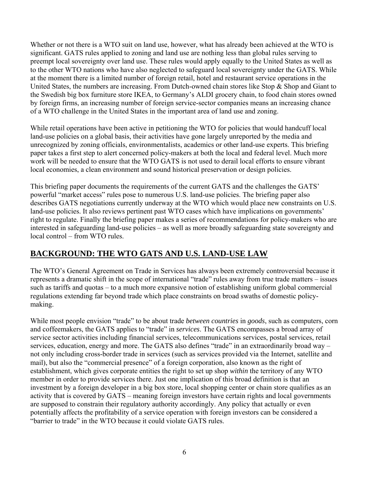Whether or not there is a WTO suit on land use, however, what has already been achieved at the WTO is significant. GATS rules applied to zoning and land use are nothing less than global rules serving to preempt local sovereignty over land use. These rules would apply equally to the United States as well as to the other WTO nations who have also neglected to safeguard local sovereignty under the GATS. While at the moment there is a limited number of foreign retail, hotel and restaurant service operations in the United States, the numbers are increasing. From Dutch-owned chain stores like Stop & Shop and Giant to the Swedish big box furniture store IKEA, to Germany's ALDI grocery chain, to food chain stores owned by foreign firms, an increasing number of foreign service-sector companies means an increasing chance of a WTO challenge in the United States in the important area of land use and zoning.

While retail operations have been active in petitioning the WTO for policies that would handcuff local land-use policies on a global basis, their activities have gone largely unreported by the media and unrecognized by zoning officials, environmentalists, academics or other land-use experts. This briefing paper takes a first step to alert concerned policy-makers at both the local and federal level. Much more work will be needed to ensure that the WTO GATS is not used to derail local efforts to ensure vibrant local economies, a clean environment and sound historical preservation or design policies.

This briefing paper documents the requirements of the current GATS and the challenges the GATS' powerful "market access" rules pose to numerous U.S. land-use policies. The briefing paper also describes GATS negotiations currently underway at the WTO which would place new constraints on U.S. land-use policies. It also reviews pertinent past WTO cases which have implications on governments' right to regulate. Finally the briefing paper makes a series of recommendations for policy-makers who are interested in safeguarding land-use policies – as well as more broadly safeguarding state sovereignty and local control – from WTO rules.

## **BACKGROUND: THE WTO GATS AND U.S. LAND-USE LAW**

The WTO's General Agreement on Trade in Services has always been extremely controversial because it represents a dramatic shift in the scope of international "trade" rules away from true trade matters – issues such as tariffs and quotas – to a much more expansive notion of establishing uniform global commercial regulations extending far beyond trade which place constraints on broad swaths of domestic policymaking.

While most people envision "trade" to be about trade *between countries* in *goods*, such as computers, corn and coffeemakers, the GATS applies to "trade" in *services*. The GATS encompasses a broad array of service sector activities including financial services, telecommunications services, postal services, retail services, education, energy and more. The GATS also defines "trade" in an extraordinarily broad way – not only including cross-border trade in services (such as services provided via the Internet, satellite and mail), but also the "commercial presence" of a foreign corporation, also known as the right of establishment, which gives corporate entities the right to set up shop *within* the territory of any WTO member in order to provide services there. Just one implication of this broad definition is that an investment by a foreign developer in a big box store, local shopping center or chain store qualifies as an activity that is covered by GATS – meaning foreign investors have certain rights and local governments are supposed to constrain their regulatory authority accordingly. Any policy that actually or even potentially affects the profitability of a service operation with foreign investors can be considered a "barrier to trade" in the WTO because it could violate GATS rules.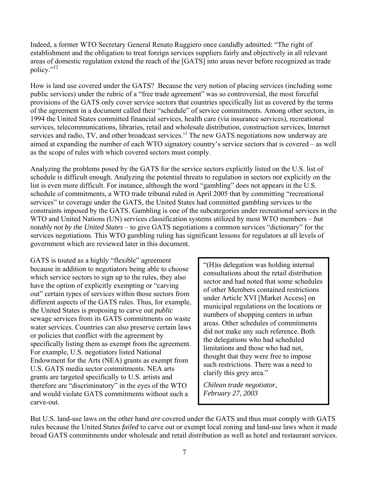Indeed, a former WTO Secretary General Renato Ruggiero once candidly admitted: "The right of establishment and the obligation to treat foreign services suppliers fairly and objectively in all relevant areas of domestic regulation extend the reach of the [GATS] into areas never before recognized as trade policy."[12](#page-32-11) 

How is land use covered under the GATS? Because the very notion of placing services (including some public services) under the rubric of a "free trade agreement" was so controversial, the most forceful provisions of the GATS only cover service sectors that countries specifically list as covered by the terms of the agreement in a document called their "schedule" of service commitments. Among other sectors, in 1994 the United States committed financial services, health care (via insurance services), recreational services, telecommunications, libraries, retail and wholesale distribution, construction services, Internet services and radio, TV, and other broadcast services.<sup>13</sup> The new GATS negotiations now underway are aimed at expanding the number of each WTO signatory country's service sectors that is covered – as well as the scope of rules with which covered sectors must comply.

Analyzing the problems posed by the GATS for the service sectors explicitly listed on the U.S. list of schedule is difficult enough. Analyzing the potential threats to regulation in sectors *not* explicitly on the list is even more difficult. For instance, although the word "gambling" does not appears in the U.S. schedule of commitments, a WTO trade tribunal ruled in April 2005 that by committing "recreational services" to coverage under the GATS, the United States had committed gambling services to the constraints imposed by the GATS. Gambling is one of the subcategories under recreational services in the WTO and United Nations (UN) services classification systems utilized by most WTO members – *but notably not by the United States* – to give GATS negotiations a common services "dictionary" for the services negotiations. This WTO gambling ruling has significant lessons for regulators at all levels of government which are reviewed later in this document.

GATS is touted as a highly "flexible" agreement because in addition to negotiators being able to choose which service sectors to sign up to the rules, they also have the option of explicitly exempting or "carving out" certain types of services within those sectors from different aspects of the GATS rules. Thus, for example, the United States is proposing to carve out *public* sewage services from its GATS commitments on waste water services. Countries can also preserve certain laws or policies that conflict with the agreement by specifically listing them as exempt from the agreement. For example, U.S. negotiators listed National Endowment for the Arts (NEA) grants as exempt from U.S. GATS media sector commitments. NEA arts grants are targeted specifically to U.S. artists and therefore are "discriminatory" in the eyes of the WTO and would violate GATS commitments without such a carve-out.

"(H)is delegation was holding internal consultations about the retail distribution sector and had noted that some schedules of other Members contained restrictions under Article XVI [Market Access] on municipal regulations on the locations or numbers of shopping centers in urban areas. Other schedules of commitments did not make any such reference. Both the delegations who had scheduled limitations and those who had not, thought that they were free to impose such restrictions. There was a need to clarify this grey area."

*Chilean trade negotiator, February 27, 2003* 

But U.S. land-use laws on the other hand *are* covered under the GATS and thus must comply with GATS rules because the United States *failed* to carve out or exempt local zoning and land-use laws when it made broad GATS commitments under wholesale and retail distribution as well as hotel and restaurant services.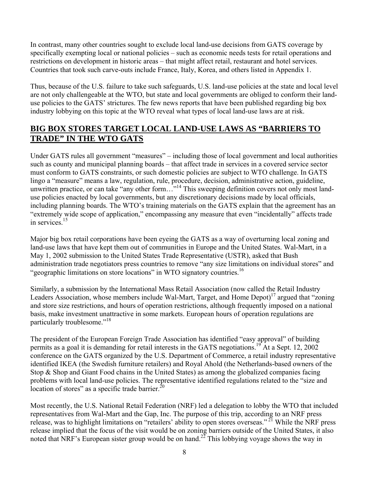In contrast, many other countries sought to exclude local land-use decisions from GATS coverage by specifically exempting local or national policies – such as economic needs tests for retail operations and restrictions on development in historic areas – that might affect retail, restaurant and hotel services. Countries that took such carve-outs include France, Italy, Korea, and others listed in Appendix 1.

Thus, because of the U.S. failure to take such safeguards, U.S. land-use policies at the state and local level are not only challengeable at the WTO, but state and local governments are obliged to conform their landuse policies to the GATS' strictures. The few news reports that have been published regarding big box industry lobbying on this topic at the WTO reveal what types of local land-use laws are at risk.

## **BIG BOX STORES TARGET LOCAL LAND-USE LAWS AS "BARRIERS TO TRADE" IN THE WTO GATS**

Under GATS rules all government "measures" – including those of local government and local authorities such as county and municipal planning boards – that affect trade in services in a covered service sector must conform to GATS constraints, or such domestic policies are subject to WTO challenge. In GATS lingo a "measure" means a law, regulation, rule, procedure, decision, administrative action, guideline, unwritten practice, or can take "any other form..."<sup>14</sup> This sweeping definition covers not only most landuse policies enacted by local governments, but any discretionary decisions made by local officials, including planning boards. The WTO's training materials on the GATS explain that the agreement has an "extremely wide scope of application," encompassing any measure that even "incidentally" affects trade in services.<sup>15</sup>

Major big box retail corporations have been eyeing the GATS as a way of overturning local zoning and land-use laws that have kept them out of communities in Europe and the United States. Wal-Mart, in a May 1, 2002 submission to the United States Trade Representative (USTR), asked that Bush administration trade negotiators press countries to remove "any size limitations on individual stores" and "geographic limitations on store locations" in WTO signatory countries.<sup>16</sup>

Similarly, a submission by the International Mass Retail Association (now called the Retail Industry Leaders Association, whose members include Wal-Mart, Target, and Home Depot)<sup>17</sup> argued that "zoning" and store size restrictions, and hours of operation restrictions, although frequently imposed on a national basis, make investment unattractive in some markets. European hours of operation regulations are particularly troublesome."<sup>18</sup>

The president of the European Foreign Trade Association has identified "easy approval" of building permits as a goal it is demanding for retail interests in the GATS negotiations.<sup>19</sup> At a Sept. 12, 2002 conference on the GATS organized by the U.S. Department of Commerce, a retail industry representative identified IKEA (the Swedish furniture retailers) and Royal Ahold (the Netherlands-based owners of the Stop & Shop and Giant Food chains in the United States) as among the globalized companies facing problems with local land-use policies. The representative identified regulations related to the "size and location of stores" as a specific trade barrier. $^{20}$ 

Most recently, the U.S. National Retail Federation (NRF) led a delegation to lobby the WTO that included representatives from Wal-Mart and the Gap, Inc. The purpose of this trip, according to an NRF press release, was to highlight limitations on "retailers' ability to open stores overseas."<sup>21</sup> While the NRF press release implied that the focus of the visit would be on zoning barriers outside of the United States, it also noted that NRF's European sister group would be on hand.<sup>22</sup> This lobbying voyage shows the way in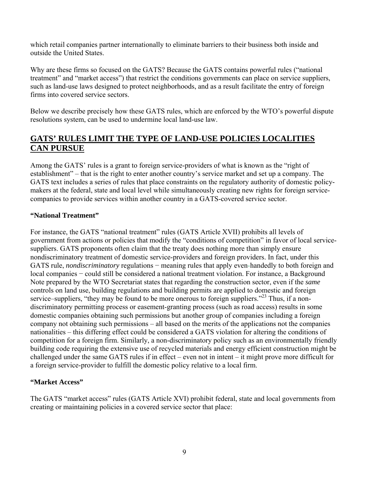which retail companies partner internationally to eliminate barriers to their business both inside and outside the United States.

Why are these firms so focused on the GATS? Because the GATS contains powerful rules ("national treatment" and "market access") that restrict the conditions governments can place on service suppliers, such as land-use laws designed to protect neighborhoods, and as a result facilitate the entry of foreign firms into covered service sectors.

Below we describe precisely how these GATS rules, which are enforced by the WTO's powerful dispute resolutions system, can be used to undermine local land-use law.

## **GATS' RULES LIMIT THE TYPE OF LAND-USE POLICIES LOCALITIES CAN PURSUE**

Among the GATS' rules is a grant to foreign service-providers of what is known as the "right of establishment" – that is the right to enter another country's service market and set up a company. The GATS text includes a series of rules that place constraints on the regulatory authority of domestic policymakers at the federal, state and local level while simultaneously creating new rights for foreign servicecompanies to provide services within another country in a GATS-covered service sector.

#### **"National Treatment"**

For instance, the GATS "national treatment" rules (GATS Article XVII) prohibits all levels of government from actions or policies that modify the "conditions of competition" in favor of local servicesuppliers. GATS proponents often claim that the treaty does nothing more than simply ensure nondiscriminatory treatment of domestic service-providers and foreign providers. In fact, under this GATS rule, *nondiscriminatory* regulations – meaning rules that apply even-handedly to both foreign and local companies − could still be considered a national treatment violation. For instance, a Background Note prepared by the WTO Secretariat states that regarding the construction sector, even if the *same* controls on land use, building regulations and building permits are applied to domestic and foreign service–suppliers, "they may be found to be more onerous to foreign suppliers."<sup>23</sup> Thus, if a nondiscriminatory permitting process or easement-granting process (such as road access) results in some domestic companies obtaining such permissions but another group of companies including a foreign company not obtaining such permissions – all based on the merits of the applications not the companies nationalities – this differing effect could be considered a GATS violation for altering the conditions of competition for a foreign firm. Similarly, a non-discriminatory policy such as an environmentally friendly building code requiring the extensive use of recycled materials and energy efficient construction might be challenged under the same GATS rules if in effect – even not in intent – it might prove more difficult for a foreign service-provider to fulfill the domestic policy relative to a local firm.

#### **"Market Access"**

The GATS "market access" rules (GATS Article XVI) prohibit federal, state and local governments from creating or maintaining policies in a covered service sector that place: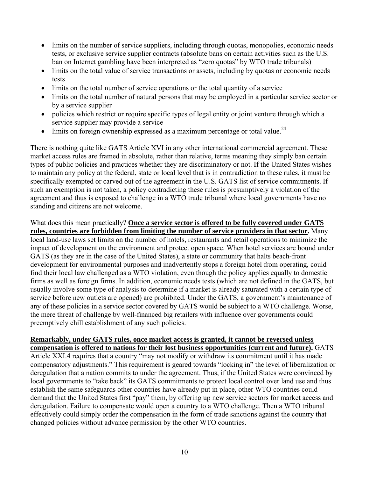- limits on the number of service suppliers, including through quotas, monopolies, economic needs tests, or exclusive service supplier contracts (absolute bans on certain activities such as the U.S. ban on Internet gambling have been interpreted as "zero quotas" by WTO trade tribunals)
- limits on the total value of service transactions or assets, including by quotas or economic needs tests
- limits on the total number of service operations or the total quantity of a service
- limits on the total number of natural persons that may be employed in a particular service sector or by a service supplier
- policies which restrict or require specific types of legal entity or joint venture through which a service supplier may provide a service
- $\bullet$  limits on foreign ownership expressed as a maximum percentage or total value.<sup>24</sup>

There is nothing quite like GATS Article XVI in any other international commercial agreement. These market access rules are framed in absolute, rather than relative, terms meaning they simply ban certain types of public policies and practices whether they are discriminatory or not. If the United States wishes to maintain any policy at the federal, state or local level that is in contradiction to these rules, it must be specifically exempted or carved out of the agreement in the U.S. GATS list of service commitments. If such an exemption is not taken, a policy contradicting these rules is presumptively a violation of the agreement and thus is exposed to challenge in a WTO trade tribunal where local governments have no standing and citizens are not welcome.

What does this mean practically? **Once a service sector is offered to be fully covered under GATS rules, countries are forbidden from limiting the number of service providers in that sector.** Many local land-use laws set limits on the number of hotels, restaurants and retail operations to minimize the impact of development on the environment and protect open space. When hotel services are bound under GATS (as they are in the case of the United States), a state or community that halts beach-front development for environmental purposes and inadvertently stops a foreign hotel from operating, could find their local law challenged as a WTO violation, even though the policy applies equally to domestic firms as well as foreign firms. In addition, economic needs tests (which are not defined in the GATS, but usually involve some type of analysis to determine if a market is already saturated with a certain type of service before new outlets are opened) are prohibited. Under the GATS, a government's maintenance of any of these policies in a service sector covered by GATS would be subject to a WTO challenge. Worse, the mere threat of challenge by well-financed big retailers with influence over governments could preemptively chill establishment of any such policies.

#### **Remarkably, under GATS rules, once market access is granted, it cannot be reversed unless compensation is offered to nations for their lost business opportunities (current and future).** GATS

Article XXI.4 requires that a country "may not modify or withdraw its commitment until it has made compensatory adjustments." This requirement is geared towards "locking in" the level of liberalization or deregulation that a nation commits to under the agreement. Thus, if the United States were convinced by local governments to "take back" its GATS commitments to protect local control over land use and thus establish the same safeguards other countries have already put in place, other WTO countries could demand that the United States first "pay" them, by offering up new service sectors for market access and deregulation. Failure to compensate would open a country to a WTO challenge. Then a WTO tribunal effectively could simply order the compensation in the form of trade sanctions against the country that changed policies without advance permission by the other WTO countries.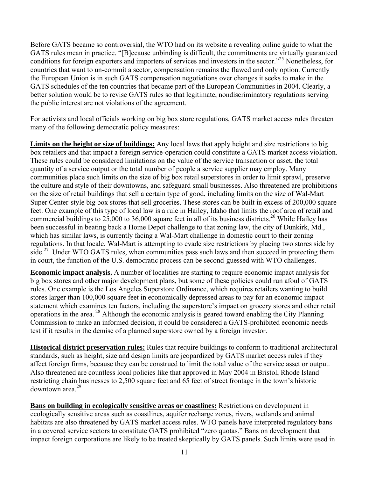Before GATS became so controversial, the WTO had on its website a revealing online guide to what the GATS rules mean in practice. "[B]ecause unbinding is difficult, the commitments are virtually guaranteed conditions for foreign exporters and importers of services and investors in the sector."<sup>25</sup> Nonetheless, for countries that want to un-commit a sector, compensation remains the flawed and only option. Currently the European Union is in such GATS compensation negotiations over changes it seeks to make in the GATS schedules of the ten countries that became part of the European Communities in 2004. Clearly, a better solution would be to revise GATS rules so that legitimate, nondiscriminatory regulations serving the public interest are not violations of the agreement.

For activists and local officials working on big box store regulations, GATS market access rules threaten many of the following democratic policy measures:

**Limits on the height or size of buildings:** Any local laws that apply height and size restrictions to big box retailers and that impact a foreign service-operation could constitute a GATS market access violation. These rules could be considered limitations on the value of the service transaction or asset, the total quantity of a service output or the total number of people a service supplier may employ. Many communities place such limits on the size of big box retail superstores in order to limit sprawl, preserve the culture and style of their downtowns, and safeguard small businesses. Also threatened are prohibitions on the size of retail buildings that sell a certain type of good, including limits on the size of Wal-Mart Super Center-style big box stores that sell groceries. These stores can be built in excess of 200,000 square feet. One example of this type of local law is a rule in Hailey, Idaho that limits the roof area of retail and commercial buildings to  $25,000$  to 36,000 square feet in all of its business districts.<sup>26</sup> While Hailey has been successful in beating back a Home Depot challenge to that zoning law, the city of Dunkirk, Md., which has similar laws, is currently facing a Wal-Mart challenge in domestic court to their zoning regulations. In that locale, Wal-Mart is attempting to evade size restrictions by placing two stores side by side.<sup>27</sup> Under WTO GATS rules, when communities pass such laws and then succeed in protecting them in court, the function of the U.S. democratic process can be second-guessed with WTO challenges.

**Economic impact analysis.** A number of localities are starting to require economic impact analysis for big box stores and other major development plans, but some of these policies could run afoul of GATS rules. One example is the Los Angeles Superstore Ordinance, which requires retailers wanting to build stores larger than 100,000 square feet in economically depressed areas to pay for an economic impact statement which examines ten factors, including the superstore's impact on grocery stores and other retail operations in the area. [28](#page-32-27) Although the economic analysis is geared toward enabling the City Planning Commission to make an informed decision, it could be considered a GATS-prohibited economic needs test if it results in the demise of a planned superstore owned by a foreign investor.

**Historical district preservation rules:** Rules that require buildings to conform to traditional architectural standards, such as height, size and design limits are jeopardized by GATS market access rules if they affect foreign firms, because they can be construed to limit the total value of the service asset or output. Also threatened are countless local policies like that approved in May 2004 in Bristol, Rhode Island restricting chain businesses to 2,500 square feet and 65 feet of street frontage in the town's historic downtown area[.29](#page-32-28)

**Bans on building in ecologically sensitive areas or coastlines:** Restrictions on development in ecologically sensitive areas such as coastlines, aquifer recharge zones, rivers, wetlands and animal habitats are also threatened by GATS market access rules. WTO panels have interpreted regulatory bans in a covered service sectors to constitute GATS prohibited "zero quotas." Bans on development that impact foreign corporations are likely to be treated skeptically by GATS panels. Such limits were used in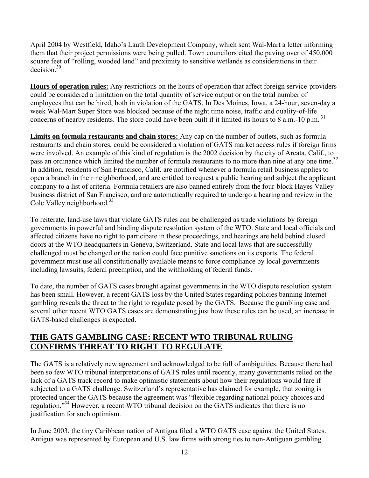April 2004 by Westfield, Idaho's Lauth Development Company, which sent Wal-Mart a letter informing them that their project permissions were being pulled. Town councilors cited the paving over of 450,000 square feet of "rolling, wooded land" and proximity to sensitive wetlands as considerations in their decision[.30](#page-32-29) 

**Hours of operation rules:** Any restrictions on the hours of operation that affect foreign service-providers could be considered a limitation on the total quantity of service output or on the total number of employees that can be hired, both in violation of the GATS. In Des Moines, Iowa, a 24-hour, seven-day a week Wal-Mart Super Store was blocked because of the night time noise, traffic and quality-of-life concerns of nearby residents. The store could have been built if it limited its hours to  $8$  a.m.-10 p.m.<sup>31</sup>

**Limits on formula restaurants and chain stores:** Any cap on the number of outlets, such as formula restaurants and chain stores, could be considered a violation of GATS market access rules if foreign firms were involved. An example of this kind of regulation is the 2002 decision by the city of Arcata, Calif., to pass an ordinance which limited the number of formula restaurants to no more than nine at any one time.<sup>32</sup> In addition, residents of San Francisco, Calif. are notified whenever a formula retail business applies to open a branch in their neighborhood, and are entitled to request a public hearing and subject the applicant company to a list of criteria. Formula retailers are also banned entirely from the four-block Hayes Valley business district of San Francisco, and are automatically required to undergo a hearing and review in the Cole Valley neighborhood.<sup>33</sup>

To reiterate, land-use laws that violate GATS rules can be challenged as trade violations by foreign governments in powerful and binding dispute resolution system of the WTO. State and local officials and affected citizens have no right to participate in these proceedings, and hearings are held behind closed doors at the WTO headquarters in Geneva, Switzerland. State and local laws that are successfully challenged must be changed or the nation could face punitive sanctions on its exports. The federal government must use all constitutionally available means to force compliance by local governments including lawsuits, federal preemption, and the withholding of federal funds.

To date, the number of GATS cases brought against governments in the WTO dispute resolution system has been small. However, a recent GATS loss by the United States regarding policies banning Internet gambling reveals the threat to the right to regulate posed by the GATS. Because the gambling case and several other recent WTO GATS cases are demonstrating just how these rules can be used, an increase in GATS-based challenges is expected.

## **THE GATS GAMBLING CASE: RECENT WTO TRIBUNAL RULING CONFIRMS THREAT TO RIGHT TO REGULATE**

The GATS is a relatively new agreement and acknowledged to be full of ambiguities. Because there had been so few WTO tribunal interpretations of GATS rules until recently, many governments relied on the lack of a GATS track record to make optimistic statements about how their regulations would fare if subjected to a GATS challenge. Switzerland's representative has claimed for example, that zoning is protected under the GATS because the agreement was "flexible regarding national policy choices and regulation.["34](#page-32-33) However, a recent WTO tribunal decision on the GATS indicates that there is no justification for such optimism.

In June 2003, the tiny Caribbean nation of Antigua filed a WTO GATS case against the United States. Antigua was represented by European and U.S. law firms with strong ties to non-Antiguan gambling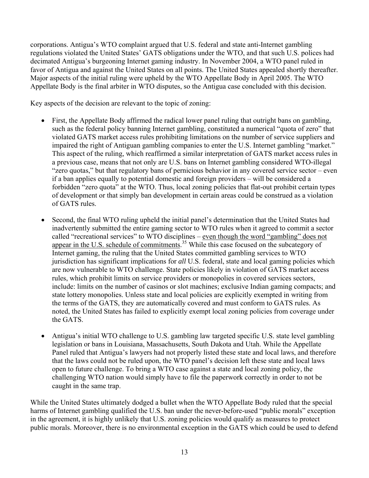corporations. Antigua's WTO complaint argued that U.S. federal and state anti-Internet gambling regulations violated the United States' GATS obligations under the WTO, and that such U.S. polices had decimated Antigua's burgeoning Internet gaming industry. In November 2004, a WTO panel ruled in favor of Antigua and against the United States on all points. The United States appealed shortly thereafter. Major aspects of the initial ruling were upheld by the WTO Appellate Body in April 2005. The WTO Appellate Body is the final arbiter in WTO disputes, so the Antigua case concluded with this decision.

Key aspects of the decision are relevant to the topic of zoning:

- First, the Appellate Body affirmed the radical lower panel ruling that outright bans on gambling, such as the federal policy banning Internet gambling, constituted a numerical "quota of zero" that violated GATS market access rules prohibiting limitations on the number of service suppliers and impaired the right of Antiguan gambling companies to enter the U.S. Internet gambling "market." This aspect of the ruling, which reaffirmed a similar interpretation of GATS market access rules in a previous case, means that not only are U.S. bans on Internet gambling considered WTO-illegal "zero quotas," but that regulatory bans of pernicious behavior in any covered service sector – even if a ban applies equally to potential domestic and foreign providers – will be considered a forbidden "zero quota" at the WTO. Thus, local zoning policies that flat-out prohibit certain types of development or that simply ban development in certain areas could be construed as a violation of GATS rules.
- Second, the final WTO ruling upheld the initial panel's determination that the United States had inadvertently submitted the entire gaming sector to WTO rules when it agreed to commit a sector called "recreational services" to WTO disciplines – even though the word "gambling" does not appear in the U.S. schedule of commitments.<sup>35</sup> While this case focused on the subcategory of Internet gaming, the ruling that the United S[tate](#page-32-34)s committed gambling services to WTO jurisdiction has significant implications for *all* U.S. federal, state and local gaming policies which are now vulnerable to WTO challenge. State policies likely in violation of GATS market access rules, which prohibit limits on service providers or monopolies in covered services sectors, include: limits on the number of casinos or slot machines; exclusive Indian gaming compacts; and state lottery monopolies. Unless state and local policies are explicitly exempted in writing from the terms of the GATS, they are automatically covered and must conform to GATS rules. As noted, the United States has failed to explicitly exempt local zoning policies from coverage under the GATS.
- Antigua's initial WTO challenge to U.S. gambling law targeted specific U.S. state level gambling legislation or bans in Louisiana, Massachusetts, South Dakota and Utah. While the Appellate Panel ruled that Antigua's lawyers had not properly listed these state and local laws, and therefore that the laws could not be ruled upon, the WTO panel's decision left these state and local laws open to future challenge. To bring a WTO case against a state and local zoning policy, the challenging WTO nation would simply have to file the paperwork correctly in order to not be caught in the same trap.

While the United States ultimately dodged a bullet when the WTO Appellate Body ruled that the special harms of Internet gambling qualified the U.S. ban under the never-before-used "public morals" exception in the agreement, it is highly unlikely that U.S. zoning policies would qualify as measures to protect public morals. Moreover, there is no environmental exception in the GATS which could be used to defend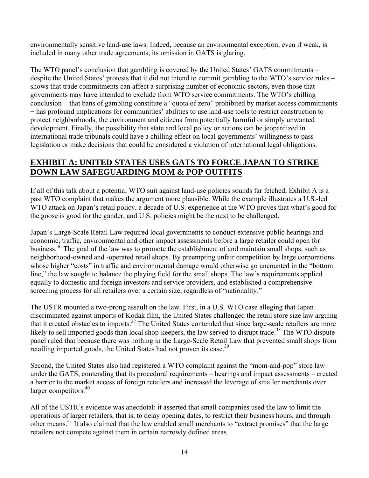environmentally sensitive land-use laws. Indeed, because an environmental exception, even if weak, is included in many other trade agreements, its omission in GATS is glaring.

The WTO panel's conclusion that gambling is covered by the United States' GATS commitments – despite the United States' protests that it did not intend to commit gambling to the WTO's service rules – shows that trade commitments can affect a surprising number of economic sectors, even those that governments may have intended to exclude from WTO service commitments. The WTO's chilling conclusion − that bans of gambling constitute a "quota of zero" prohibited by market access commitments − has profound implications for communities' abilities to use land-use tools to restrict construction to protect neighborhoods, the environment and citizens from potentially harmful or simply unwanted development. Finally, the possibility that state and local policy or actions can be jeopardized in international trade tribunals could have a chilling effect on local governments' willingness to pass legislation or make decisions that could be considered a violation of international legal obligations.

## **EXHIBIT A: UNITED STATES USES GATS TO FORCE JAPAN TO STRIKE DOWN LAW SAFEGUARDING MOM & POP OUTFITS**

If all of this talk about a potential WTO suit against land-use policies sounds far fetched, Exhibit A is a past WTO complaint that makes the argument more plausible. While the example illustrates a U.S.-led WTO attack on Japan's retail policy, a decade of U.S. experience at the WTO proves that what's good for the goose is good for the gander, and U.S. policies might be the next to be challenged.

Japan's Large-Scale Retail Law required local governments to conduct extensive public hearings and economic, traffic, environmental and other impact assessments before a large retailer could open for business.<sup>36</sup> The goal of the law was to promote the establishment of and maintain small shops, such as neighborhood-owned and -operated retail shops. By preempting unfair competition by large corporations whose higher "costs" in traffic and environmental damage would otherwise go uncounted in the "bottom line," the law sought to balance the playing field for the small shops. The law's requirements applied equally to domestic and foreign investors and service providers, and established a comprehensive screening process for all retailers over a certain size, regardless of "nationality."

The USTR mounted a two-prong assault on the law. First, in a U.S. WTO case alleging that Japan discriminated against imports of Kodak film, the United States challenged the retail store size law arguing that it created obstacles to imports.<sup>37</sup> The United States contended that since large-scale retailers are more likely to sell imported goods than local shop-keepers, the law served to disrupt trade.<sup>38</sup> The WTO dispute panel ruled that because there was nothing in the Large-Scale Retail Law that prevented small shops from retailing imported goods, the United States had not proven its case.<sup>39</sup>

Second, the United States also had registered a WTO complaint against the "mom-and-pop" store law under the GATS, contending that its procedural requirements – hearings and impact assessments – created a barrier to the market access of foreign retailers and increased the leverage of smaller merchants over larger competitors.<sup>40</sup>

All of the USTR's evidence was anecdotal: it asserted that small companies used the law to limit the operations of larger retailers, that is, to delay opening dates, to restrict their business hours, and through other means.[41](#page-32-40) It also claimed that the law enabled small merchants to "extract promises" that the large retailers not compete against them in certain narrowly defined areas.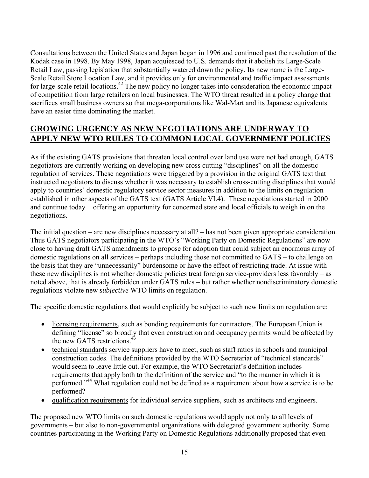Consultations between the United States and Japan began in 1996 and continued past the resolution of the Kodak case in 1998. By May 1998, Japan acquiesced to U.S. demands that it abolish its Large-Scale Retail Law, passing legislation that substantially watered down the policy. Its new name is the Large-Scale Retail Store Location Law, and it provides only for environmental and traffic impact assessments for large-scale retail locations.<sup>42</sup> The new policy no longer takes into consideration the economic impact of competition from large retailers on local businesses. The WTO threat resulted in a policy change that sacrifices small business owners so that mega-corporations like Wal-Mart and its Japanese equivalents have an easier time dominating the market.

## **GROWING URGENCY AS NEW NEGOTIATIONS ARE UNDERWAY TO APPLY NEW WTO RULES TO COMMON LOCAL GOVERNMENT POLICIES**

As if the existing GATS provisions that threaten local control over land use were not bad enough, GATS negotiators are currently working on developing new cross cutting "disciplines" on all the domestic regulation of services. These negotiations were triggered by a provision in the original GATS text that instructed negotiators to discuss whether it was necessary to establish cross-cutting disciplines that would apply to countries' domestic regulatory service sector measures in addition to the limits on regulation established in other aspects of the GATS text (GATS Article VI.4). These negotiations started in 2000 and continue today − offering an opportunity for concerned state and local officials to weigh in on the negotiations.

The initial question – are new disciplines necessary at all? – has not been given appropriate consideration. Thus GATS negotiators participating in the WTO's "Working Party on Domestic Regulations" are now close to having draft GATS amendments to propose for adoption that could subject an enormous array of domestic regulations on all services – perhaps including those not committed to GATS – to challenge on the basis that they are "unnecessarily" burdensome or have the effect of restricting trade. At issue with these new disciplines is not whether domestic policies treat foreign service-providers less favorably – as noted above, that is already forbidden under GATS rules – but rather whether nondiscriminatory domestic regulations violate new *subjective* WTO limits on regulation.

The specific domestic regulations that would explicitly be subject to such new limits on regulation are:

- licensing requirements, such as bonding requirements for contractors. The European Union is defining "license" so broadly that even construction and occupancy permits would be affected by the new GATS restrictions.<sup>[43](#page-32-42)</sup>
- technical standards service suppliers have to meet, such as staff ratios in schools and municipal construction codes. The definitions provided by the WTO Secretariat of "technical standards" would seem to leave little out. For example, the WTO Secretariat's definition includes requirements that apply both to the definition of the service and "to the manner in which it is performed."<sup>44</sup> What regulation could not be defined as a requirement about how a service is to be performed?
- qualification requirements for individual service suppliers, such as architects and engineers.

The proposed new WTO limits on such domestic regulations would apply not only to all levels of governments – but also to non-governmental organizations with delegated government authority. Some countries participating in the Working Party on Domestic Regulations additionally proposed that even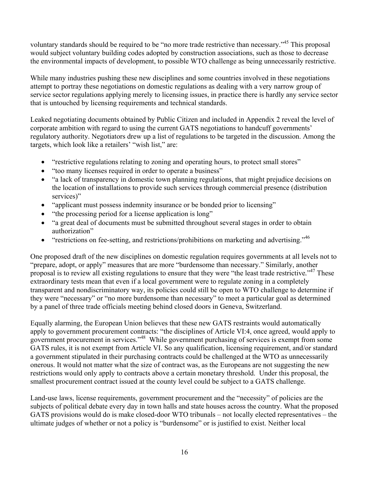voluntary standards should be required to be "no more trade restrictive than necessary.["45](#page-32-44) This proposal would subject voluntary building codes adopted by construction associations, such as those to decrease the environmental impacts of development, to possible WTO challenge as being unnecessarily restrictive.

While many industries pushing these new disciplines and some countries involved in these negotiations attempt to portray these negotiations on domestic regulations as dealing with a very narrow group of service sector regulations applying merely to licensing issues, in practice there is hardly any service sector that is untouched by licensing requirements and technical standards.

Leaked negotiating documents obtained by Public Citizen and included in Appendix 2 reveal the level of corporate ambition with regard to using the current GATS negotiations to handcuff governments' regulatory authority. Negotiators drew up a list of regulations to be targeted in the discussion. Among the targets, which look like a retailers' "wish list," are:

- "restrictive regulations relating to zoning and operating hours, to protect small stores"
- "too many licenses required in order to operate a business"
- "a lack of transparency in domestic town planning regulations, that might prejudice decisions on the location of installations to provide such services through commercial presence (distribution services)"
- "applicant must possess indemnity insurance or be bonded prior to licensing"
- "the processing period for a license application is long"
- "a great deal of documents must be submitted throughout several stages in order to obtain authorization"
- "restrictions on fee-setting, and restrictions/prohibitions on marketing and advertising."<sup>[46](#page-32-45)</sup>

One proposed draft of the new disciplines on domestic regulation requires governments at all levels not to "prepare, adopt, or apply" measures that are more "burdensome than necessary." Similarly, another proposal is to review all existing regulations to ensure that they were "the least trade restrictive*.*" [47](#page-32-46) These extraordinary tests mean that even if a local government were to regulate zoning in a completely transparent and nondiscriminatory way, its policies could still be open to WTO challenge to determine if they were "necessary" or "no more burdensome than necessary" to meet a particular goal as determined by a panel of three trade officials meeting behind closed doors in Geneva, Switzerland.

Equally alarming, the European Union believes that these new GATS restraints would automatically apply to government procurement contracts: "the disciplines of Article VI:4, once agreed, would apply to government procurement in services."<sup>48</sup> While government purchasing of services is exempt from some GATS rules, it is not exempt from Article VI. So any qualification, licensing requirement, and/or standard a government stipulated in their purchasing contracts could be challenged at the WTO as unnecessarily onerous. It would not matter what the size of contract was, as the Europeans are not suggesting the new restrictions would only apply to contracts above a certain monetary threshold. Under this proposal, the smallest procurement contract issued at the county level could be subject to a GATS challenge.

Land-use laws, license requirements, government procurement and the "necessity" of policies are the subjects of political debate every day in town halls and state houses across the country. What the proposed GATS provisions would do is make closed-door WTO tribunals – not locally elected representatives – the ultimate judges of whether or not a policy is "burdensome" or is justified to exist. Neither local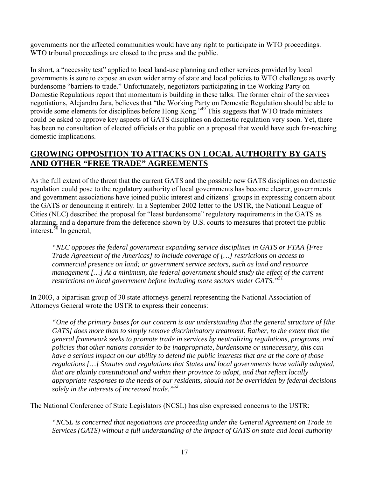governments nor the affected communities would have any right to participate in WTO proceedings. WTO tribunal proceedings are closed to the press and the public.

In short, a "necessity test" applied to local land-use planning and other services provided by local governments is sure to expose an even wider array of state and local policies to WTO challenge as overly burdensome "barriers to trade." Unfortunately, negotiators participating in the Working Party on Domestic Regulations report that momentum is building in these talks. The former chair of the services negotiations, Alejandro Jara, believes that "the Working Party on Domestic Regulation should be able to provide some elements for disciplines before Hong Kong."[49](#page-32-48) This suggests that WTO trade ministers could be asked to approve key aspects of GATS disciplines on domestic regulation very soon. Yet, there has been no consultation of elected officials or the public on a proposal that would have such far-reaching domestic implications.

## **GROWING OPPOSITION TO ATTACKS ON LOCAL AUTHORITY BY GATS AND OTHER "FREE TRADE" AGREEMENTS**

As the full extent of the threat that the current GATS and the possible new GATS disciplines on domestic regulation could pose to the regulatory authority of local governments has become clearer, governments and government associations have joined public interest and citizens' groups in expressing concern about the GATS or denouncing it entirely. In a September 2002 letter to the USTR, the National League of Cities (NLC) described the proposal for "least burdensome" regulatory requirements in the GATS as alarming, and a departure from the deference shown by U.S. courts to measures that protect the public interest. $50$  In general,

*"NLC opposes the federal government expanding service disciplines in GATS or FTAA [Free Trade Agreement of the Americas] to include coverage of […] restrictions on access to commercial presence on land; or government service sectors, such as land and resource management […] At a minimum, the federal government should study the effect of the current restrictions on local government before including more sectors under GATS.["51](#page-32-50)*

In 2003, a bipartisan group of 30 state attorneys general representing the National Association of Attorneys General wrote the USTR to express their concerns:

*"One of the primary bases for our concern is our understanding that the general structure of [the GATS] does more than to simply remove discriminatory treatment. Rather, to the extent that the general framework seeks to promote trade in services by neutralizing regulations, programs, and policies that other nations consider to be inappropriate, burdensome or unnecessary, this can have a serious impact on our ability to defend the public interests that are at the core of those regulations […] Statutes and regulations that States and local governments have validly adopted, that are plainly constitutional and within their province to adopt, and that reflect locally appropriate responses to the needs of our residents, should not be overridden by federal decisions solely in the interests of increased trade.["52](#page-32-51)*

The National Conference of State Legislators (NCSL) has also expressed concerns to the USTR:

*"NCSL is concerned that negotiations are proceeding under the General Agreement on Trade in Services (GATS) without a full understanding of the impact of GATS on state and local authority*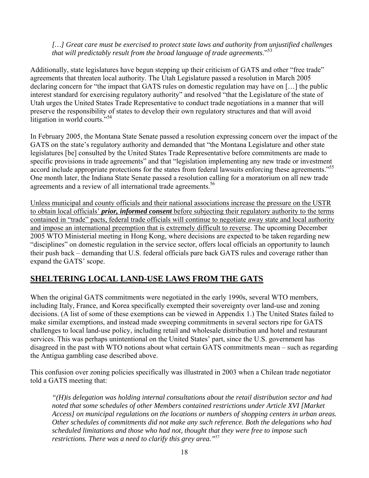#### *[…] Great care must be exercised to protect state laws and authority from unjustified challenges that will predictably result from the broad language of trade agreements*."[53](#page-32-52)

Additionally, state legislatures have begun stepping up their criticism of GATS and other "free trade" agreements that threaten local authority. The Utah Legislature passed a resolution in March 2005 declaring concern for "the impact that GATS rules on domestic regulation may have on […] the public interest standard for exercising regulatory authority" and resolved "that the Legislature of the state of Utah urges the United States Trade Representative to conduct trade negotiations in a manner that will preserve the responsibility of states to develop their own regulatory structures and that will avoid litigation in world courts."<sup>[54](#page-32-53)</sup>

In February 2005, the Montana State Senate passed a resolution expressing concern over the impact of the GATS on the state's regulatory authority and demanded that "the Montana Legislature and other state legislatures [be] consulted by the United States Trade Representative before commitments are made to specific provisions in trade agreements" and that "legislation implementing any new trade or investment accord include appropriate protections for the states from federal lawsuits enforcing these agreements."<sup>55</sup> One month later, the Indiana State Senate passed a resolution calling for a moratorium on all new trade agreements and a review of all international trade agreements.<sup>[56](#page-32-55)</sup>

Unless municipal and county officials and their national associations increase the pressure on the USTR to obtain local officials' *prior, informed consent* before subjecting their regulatory authority to the terms contained in "trade" pacts, federal trade officials will continue to negotiate away state and local authority and impose an international preemption that is extremely difficult to reverse. The upcoming December 2005 WTO Ministerial meeting in Hong Kong, where decisions are expected to be taken regarding new "disciplines" on domestic regulation in the service sector, offers local officials an opportunity to launch their push back – demanding that U.S. federal officials pare back GATS rules and coverage rather than expand the GATS' scope.

## **SHELTERING LOCAL LAND-USE LAWS FROM THE GATS**

When the original GATS commitments were negotiated in the early 1990s, several WTO members, including Italy, France, and Korea specifically exempted their sovereignty over land-use and zoning decisions. (A list of some of these exemptions can be viewed in Appendix 1.) The United States failed to make similar exemptions, and instead made sweeping commitments in several sectors ripe for GATS challenges to local land-use policy, including retail and wholesale distribution and hotel and restaurant services. This was perhaps unintentional on the United States' part, since the U.S. government has disagreed in the past with WTO notions about what certain GATS commitments mean – such as regarding the Antigua gambling case described above.

This confusion over zoning policies specifically was illustrated in 2003 when a Chilean trade negotiator told a GATS meeting that:

*"(H)is delegation was holding internal consultations about the retail distribution sector and had noted that some schedules of other Members contained restrictions under Article XVI [Market Access] on municipal regulations on the locations or numbers of shopping centers in urban areas. Other schedules of commitments did not make any such reference. Both the delegations who had scheduled limitations and those who had not, thought that they were free to impose such restrictions. There was a need to clarify this grey area."*[57](#page-32-56)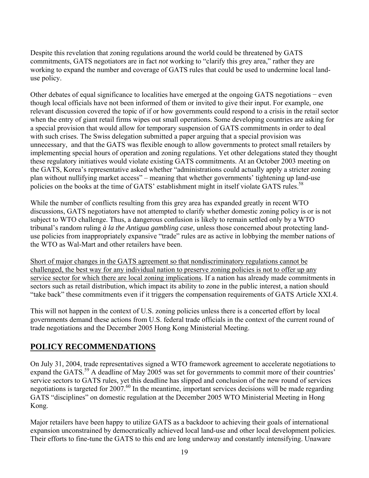Despite this revelation that zoning regulations around the world could be threatened by GATS commitments, GATS negotiators are in fact *not* working to "clarify this grey area," rather they are working to expand the number and coverage of GATS rules that could be used to undermine local landuse policy.

Other debates of equal significance to localities have emerged at the ongoing GATS negotiations − even though local officials have not been informed of them or invited to give their input. For example, one relevant discussion covered the topic of if or how governments could respond to a crisis in the retail sector when the entry of giant retail firms wipes out small operations. Some developing countries are asking for a special provision that would allow for temporary suspension of GATS commitments in order to deal with such crises. The Swiss delegation submitted a paper arguing that a special provision was unnecessary, and that the GATS was flexible enough to allow governments to protect small retailers by implementing special hours of operation and zoning regulations. Yet other delegations stated they thought these regulatory initiatives would violate existing GATS commitments. At an October 2003 meeting on the GATS, Korea's representative asked whether "administrations could actually apply a stricter zoning plan without nullifying market access" – meaning that whether governments' tightening up land-use policies on the books at the time of GATS' establishment might in itself violate GATS rules.<sup>58</sup>

While the number of conflicts resulting from this grey area has expanded greatly in recent WTO discussions, GATS negotiators have not attempted to clarify whether domestic zoning policy is or is not subject to WTO challenge. Thus, a dangerous confusion is likely to remain settled only by a WTO tribunal's random ruling *à la the Antigua gambling case,* unless those concerned about protecting landuse policies from inappropriately expansive "trade" rules are as active in lobbying the member nations of the WTO as Wal-Mart and other retailers have been.

Short of major changes in the GATS agreement so that nondiscriminatory regulations cannot be challenged, the best way for any individual nation to preserve zoning policies is not to offer up any service sector for which there are local zoning implications. If a nation has already made commitments in sectors such as retail distribution, which impact its ability to zone in the public interest, a nation should "take back" these commitments even if it triggers the compensation requirements of GATS Article XXI.4.

This will not happen in the context of U.S. zoning policies unless there is a concerted effort by local governments demand these actions from U.S. federal trade officials in the context of the current round of trade negotiations and the December 2005 Hong Kong Ministerial Meeting.

## **POLICY RECOMMENDATIONS**

On July 31, 2004, trade representatives signed a WTO framework agreement to accelerate negotiations to expand the GATS.<sup>59</sup> A deadline of May 2005 was set for governments to commit more of their countries' service sectors to GATS rules, yet this deadline has slipped and conclusion of the new round of services negotiations is targeted for  $2007<sup>60</sup>$  In the meantime, important services decisions will be made regarding GATS "disciplines" on domestic regulation at the December 2005 WTO Ministerial Meeting in Hong Kong.

Major retailers have been happy to utilize GATS as a backdoor to achieving their goals of international expansion unconstrained by democratically achieved local land-use and other local development policies. Their efforts to fine-tune the GATS to this end are long underway and constantly intensifying. Unaware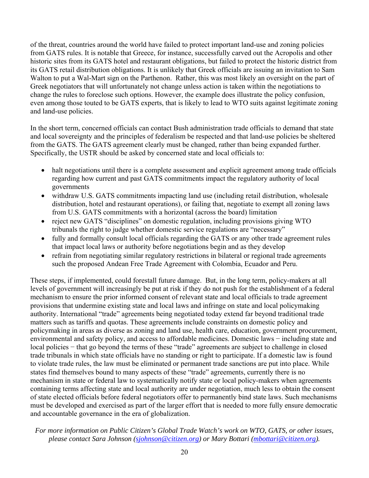of the threat, countries around the world have failed to protect important land-use and zoning policies from GATS rules. It is notable that Greece, for instance, successfully carved out the Acropolis and other historic sites from its GATS hotel and restaurant obligations, but failed to protect the historic district from its GATS retail distribution obligations. It is unlikely that Greek officials are issuing an invitation to Sam Walton to put a Wal-Mart sign on the Parthenon. Rather, this was most likely an oversight on the part of Greek negotiators that will unfortunately not change unless action is taken within the negotiations to change the rules to foreclose such options. However, the example does illustrate the policy confusion, even among those touted to be GATS experts, that is likely to lead to WTO suits against legitimate zoning and land-use policies.

In the short term, concerned officials can contact Bush administration trade officials to demand that state and local sovereignty and the principles of federalism be respected and that land-use policies be sheltered from the GATS. The GATS agreement clearly must be changed, rather than being expanded further. Specifically, the USTR should be asked by concerned state and local officials to:

- halt negotiations until there is a complete assessment and explicit agreement among trade officials regarding how current and past GATS commitments impact the regulatory authority of local governments
- withdraw U.S. GATS commitments impacting land use (including retail distribution, wholesale distribution, hotel and restaurant operations), or failing that, negotiate to exempt all zoning laws from U.S. GATS commitments with a horizontal (across the board) limitation
- reject new GATS "disciplines" on domestic regulation, including provisions giving WTO tribunals the right to judge whether domestic service regulations are "necessary"
- fully and formally consult local officials regarding the GATS or any other trade agreement rules that impact local laws or authority before negotiations begin and as they develop
- refrain from negotiating similar regulatory restrictions in bilateral or regional trade agreements such the proposed Andean Free Trade Agreement with Colombia, Ecuador and Peru.

These steps, if implemented, could forestall future damage. But, in the long term, policy-makers at all levels of government will increasingly be put at risk if they do not push for the establishment of a federal mechanism to ensure the prior informed consent of relevant state and local officials to trade agreement provisions that undermine existing state and local laws and infringe on state and local policymaking authority. International "trade" agreements being negotiated today extend far beyond traditional trade matters such as tariffs and quotas. These agreements include constraints on domestic policy and policymaking in areas as diverse as zoning and land use, health care, education, government procurement, environmental and safety policy, and access to affordable medicines. Domestic laws − including state and local policies − that go beyond the terms of these "trade" agreements are subject to challenge in closed trade tribunals in which state officials have no standing or right to participate. If a domestic law is found to violate trade rules, the law must be eliminated or permanent trade sanctions are put into place. While states find themselves bound to many aspects of these "trade" agreements, currently there is no mechanism in state or federal law to systematically notify state or local policy-makers when agreements containing terms affecting state and local authority are under negotiation, much less to obtain the consent of state elected officials before federal negotiators offer to permanently bind state laws. Such mechanisms must be developed and exercised as part of the larger effort that is needed to more fully ensure democratic and accountable governance in the era of globalization.

#### *For more information on Public Citizen's Global Trade Watch's work on WTO, GATS, or other issues, please contact Sara Johnson [\(sjohnson@citizen.org](mailto:sjohnson@citizen.org)) or Mary Bottari ([mbottari@citizen.org](mailto:mbottari@citizen.org)).*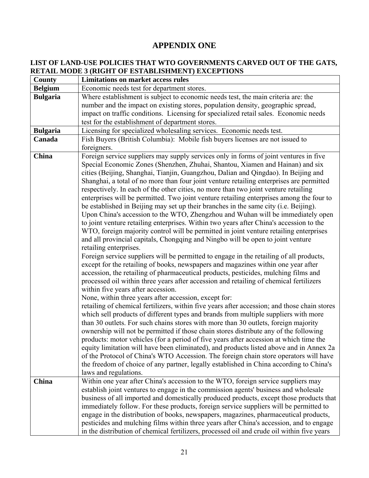## **APPENDIX ONE**

### **LIST OF LAND-USE POLICIES THAT WTO GOVERNMENTS CARVED OUT OF THE GATS, RETAIL MODE 3 (RIGHT OF ESTABLISHMENT) EXCEPTIONS**

| County          | <b>Limitations on market access rules</b>                                                                                                                                                                                                                                                                                                                                                                                                                                                                                                                                                                                                                                                                                                                                                                                                                                                                                                                                                                                                                                                                                                                                                                                                                                                                                                                                                                                                                                                                                                                                                                                                                                                                                                                                                                                                                                                                                                                                                                                                                                                                                                                                                                                                                         |
|-----------------|-------------------------------------------------------------------------------------------------------------------------------------------------------------------------------------------------------------------------------------------------------------------------------------------------------------------------------------------------------------------------------------------------------------------------------------------------------------------------------------------------------------------------------------------------------------------------------------------------------------------------------------------------------------------------------------------------------------------------------------------------------------------------------------------------------------------------------------------------------------------------------------------------------------------------------------------------------------------------------------------------------------------------------------------------------------------------------------------------------------------------------------------------------------------------------------------------------------------------------------------------------------------------------------------------------------------------------------------------------------------------------------------------------------------------------------------------------------------------------------------------------------------------------------------------------------------------------------------------------------------------------------------------------------------------------------------------------------------------------------------------------------------------------------------------------------------------------------------------------------------------------------------------------------------------------------------------------------------------------------------------------------------------------------------------------------------------------------------------------------------------------------------------------------------------------------------------------------------------------------------------------------------|
| <b>Belgium</b>  | Economic needs test for department stores.                                                                                                                                                                                                                                                                                                                                                                                                                                                                                                                                                                                                                                                                                                                                                                                                                                                                                                                                                                                                                                                                                                                                                                                                                                                                                                                                                                                                                                                                                                                                                                                                                                                                                                                                                                                                                                                                                                                                                                                                                                                                                                                                                                                                                        |
| <b>Bulgaria</b> | Where establishment is subject to economic needs test, the main criteria are: the<br>number and the impact on existing stores, population density, geographic spread,<br>impact on traffic conditions. Licensing for specialized retail sales. Economic needs<br>test for the establishment of department stores.                                                                                                                                                                                                                                                                                                                                                                                                                                                                                                                                                                                                                                                                                                                                                                                                                                                                                                                                                                                                                                                                                                                                                                                                                                                                                                                                                                                                                                                                                                                                                                                                                                                                                                                                                                                                                                                                                                                                                 |
| <b>Bulgaria</b> | Licensing for specialized wholesaling services. Economic needs test.                                                                                                                                                                                                                                                                                                                                                                                                                                                                                                                                                                                                                                                                                                                                                                                                                                                                                                                                                                                                                                                                                                                                                                                                                                                                                                                                                                                                                                                                                                                                                                                                                                                                                                                                                                                                                                                                                                                                                                                                                                                                                                                                                                                              |
| Canada          | Fish Buyers (British Columbia): Mobile fish buyers licenses are not issued to<br>foreigners.                                                                                                                                                                                                                                                                                                                                                                                                                                                                                                                                                                                                                                                                                                                                                                                                                                                                                                                                                                                                                                                                                                                                                                                                                                                                                                                                                                                                                                                                                                                                                                                                                                                                                                                                                                                                                                                                                                                                                                                                                                                                                                                                                                      |
| <b>China</b>    | Foreign service suppliers may supply services only in forms of joint ventures in five<br>Special Economic Zones (Shenzhen, Zhuhai, Shantou, Xiamen and Hainan) and six<br>cities (Beijing, Shanghai, Tianjin, Guangzhou, Dalian and Qingdao). In Beijing and<br>Shanghai, a total of no more than four joint venture retailing enterprises are permitted<br>respectively. In each of the other cities, no more than two joint venture retailing<br>enterprises will be permitted. Two joint venture retailing enterprises among the four to<br>be established in Beijing may set up their branches in the same city (i.e. Beijing).<br>Upon China's accession to the WTO, Zhengzhou and Wuhan will be immediately open<br>to joint venture retailing enterprises. Within two years after China's accession to the<br>WTO, foreign majority control will be permitted in joint venture retailing enterprises<br>and all provincial capitals, Chongqing and Ningbo will be open to joint venture<br>retailing enterprises.<br>Foreign service suppliers will be permitted to engage in the retailing of all products,<br>except for the retailing of books, newspapers and magazines within one year after<br>accession, the retailing of pharmaceutical products, pesticides, mulching films and<br>processed oil within three years after accession and retailing of chemical fertilizers<br>within five years after accession.<br>None, within three years after accession, except for:<br>retailing of chemical fertilizers, within five years after accession; and those chain stores<br>which sell products of different types and brands from multiple suppliers with more<br>than 30 outlets. For such chains stores with more than 30 outlets, foreign majority<br>ownership will not be permitted if those chain stores distribute any of the following<br>products: motor vehicles (for a period of five years after accession at which time the<br>equity limitation will have been eliminated), and products listed above and in Annex 2a<br>of the Protocol of China's WTO Accession. The foreign chain store operators will have<br>the freedom of choice of any partner, legally established in China according to China's<br>laws and regulations. |
| China           | Within one year after China's accession to the WTO, foreign service suppliers may<br>establish joint ventures to engage in the commission agents' business and wholesale<br>business of all imported and domestically produced products, except those products that<br>immediately follow. For these products, foreign service suppliers will be permitted to<br>engage in the distribution of books, newspapers, magazines, pharmaceutical products,<br>pesticides and mulching films within three years after China's accession, and to engage<br>in the distribution of chemical fertilizers, processed oil and crude oil within five years                                                                                                                                                                                                                                                                                                                                                                                                                                                                                                                                                                                                                                                                                                                                                                                                                                                                                                                                                                                                                                                                                                                                                                                                                                                                                                                                                                                                                                                                                                                                                                                                                    |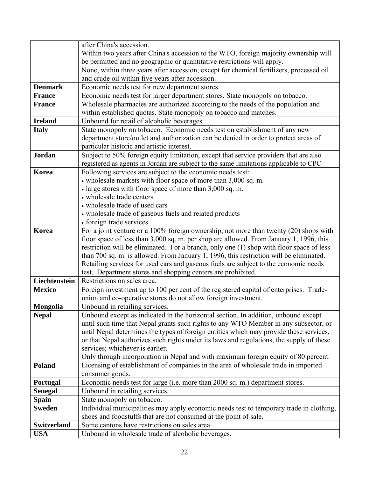|                | after China's accession.                                                                 |
|----------------|------------------------------------------------------------------------------------------|
|                | Within two years after China's accession to the WTO, foreign majority ownership will     |
|                | be permitted and no geographic or quantitative restrictions will apply.                  |
|                | None, within three years after accession, except for chemical fertilizers, processed oil |
|                | and crude oil within five years after accession.                                         |
| <b>Denmark</b> | Economic needs test for new department stores.                                           |
| <b>France</b>  | Economic needs test for larger department stores. State monopoly on tobacco.             |
| <b>France</b>  | Wholesale pharmacies are authorized according to the needs of the population and         |
|                | within established quotas. State monopoly on tobacco and matches.                        |
| <b>Ireland</b> | Unbound for retail of alcoholic beverages.                                               |
| <b>Italy</b>   | State monopoly on tobacco. Economic needs test on establishment of any new               |
|                | department store/outlet and authorization can be denied in order to protect areas of     |
|                | particular historic and artistic interest.                                               |
| <b>Jordan</b>  | Subject to 50% foreign equity limitation, except that service providers that are also    |
|                | registered as agents in Jordan are subject to the same limitations applicable to CPC     |
| Korea          | Following services are subject to the economic needs test:                               |
|                | • wholesale markets with floor space of more than 3,000 sq. m.                           |
|                | • large stores with floor space of more than 3,000 sq. m.                                |
|                | • wholesale trade centers                                                                |
|                | • wholesale trade of used cars                                                           |
|                | • wholesale trade of gaseous fuels and related products                                  |
|                | • foreign trade services                                                                 |
| Korea          | For a joint venture or a 100% foreign ownership, not more than twenty (20) shops with    |
|                | floor space of less than 3,000 sq. m. per shop are allowed. From January 1, 1996, this   |
|                | restriction will be eliminated. For a branch, only one (1) shop with floor space of less |
|                | than 700 sq. m. is allowed. From January 1, 1996, this restriction will be eliminated.   |
|                | Retailing services for used cars and gaseous fuels are subject to the economic needs     |
|                | test. Department stores and shopping centers are prohibited.                             |
| Liechtenstein  | Restrictions on sales area.                                                              |
| <b>Mexico</b>  | Foreign investment up to 100 per cent of the registered capital of enterprises. Trade-   |
|                | union and co-operative stores do not allow foreign investment.                           |
| Mongolia       | Unbound in retailing services.                                                           |
| <b>Nepal</b>   | Unbound except as indicated in the horizontal section. In addition, unbound except       |
|                | until such time that Nepal grants such rights to any WTO Member in any subsector, or     |
|                | until Nepal determines the types of foreign entities which may provide these services,   |
|                | or that Nepal authorizes such rights under its laws and regulations, the supply of these |
|                | services; whichever is earlier.                                                          |
|                | Only through incorporation in Nepal and with maximum foreign equity of 80 percent.       |
| <b>Poland</b>  | Licensing of establishment of companies in the area of wholesale trade in imported       |
|                | consumer goods.                                                                          |
| Portugal       | Economic needs test for large (i.e. more than 2000 sq. m.) department stores.            |
| <b>Senegal</b> | Unbound in retailing services.                                                           |
| <b>Spain</b>   | State monopoly on tobacco.                                                               |
| <b>Sweden</b>  | Individual municipalities may apply economic needs test to temporary trade in clothing,  |
|                | shoes and foodstuffs that are not consumed at the point of sale.                         |
| Switzerland    | Some cantons have restrictions on sales area.                                            |
|                |                                                                                          |
| <b>USA</b>     | Unbound in wholesale trade of alcoholic beverages.                                       |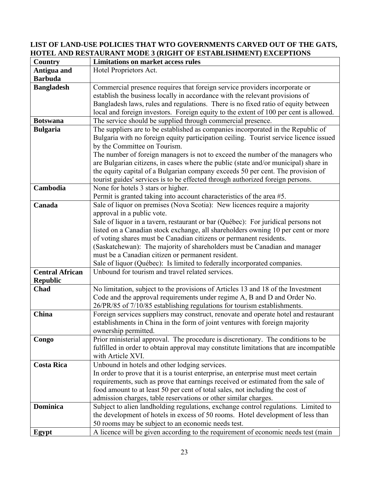#### **LIST OF LAND-USE POLICIES THAT WTO GOVERNMENTS CARVED OUT OF THE GATS, HOTEL AND RESTAURANT MODE 3 (RIGHT OF ESTABLISHMENT) EXCEPTIONS**

| <b>Country</b>         | <b>Limitations on market access rules</b>                                              |
|------------------------|----------------------------------------------------------------------------------------|
| Antigua and            | Hotel Proprietors Act.                                                                 |
| <b>Barbuda</b>         |                                                                                        |
| <b>Bangladesh</b>      | Commercial presence requires that foreign service providers incorporate or             |
|                        | establish the business locally in accordance with the relevant provisions of           |
|                        | Bangladesh laws, rules and regulations. There is no fixed ratio of equity between      |
|                        | local and foreign investors. Foreign equity to the extent of 100 per cent is allowed.  |
| <b>Botswana</b>        | The service should be supplied through commercial presence.                            |
| <b>Bulgaria</b>        | The suppliers are to be established as companies incorporated in the Republic of       |
|                        | Bulgaria with no foreign equity participation ceiling. Tourist service licence issued  |
|                        | by the Committee on Tourism.                                                           |
|                        | The number of foreign managers is not to exceed the number of the managers who         |
|                        | are Bulgarian citizens, in cases where the public (state and/or municipal) share in    |
|                        | the equity capital of a Bulgarian company exceeds 50 per cent. The provision of        |
|                        | tourist guides' services is to be effected through authorized foreign persons.         |
| Cambodia               | None for hotels 3 stars or higher.                                                     |
|                        | Permit is granted taking into account characteristics of the area #5.                  |
| Canada                 | Sale of liquor on premises (Nova Scotia): New licences require a majority              |
|                        | approval in a public vote.                                                             |
|                        | Sale of liquor in a tavern, restaurant or bar (Québec): For juridical persons not      |
|                        | listed on a Canadian stock exchange, all shareholders owning 10 per cent or more       |
|                        | of voting shares must be Canadian citizens or permanent residents.                     |
|                        | (Saskatchewan): The majority of shareholders must be Canadian and manager              |
|                        | must be a Canadian citizen or permanent resident.                                      |
|                        | Sale of liquor (Québec): Is limited to federally incorporated companies.               |
| <b>Central African</b> | Unbound for tourism and travel related services.                                       |
| <b>Republic</b>        |                                                                                        |
| Chad                   | No limitation, subject to the provisions of Articles 13 and 18 of the Investment       |
|                        | Code and the approval requirements under regime A, B and D and Order No.               |
|                        | 26/PR/85 of 7/10/85 establishing regulations for tourism establishments.               |
| China                  | Foreign services suppliers may construct, renovate and operate hotel and restaurant    |
|                        | establishments in China in the form of joint ventures with foreign majority            |
|                        | ownership permitted.                                                                   |
| Congo                  | Prior ministerial approval. The procedure is discretionary. The conditions to be       |
|                        | fulfilled in order to obtain approval may constitute limitations that are incompatible |
|                        | with Article XVI.                                                                      |
| <b>Costa Rica</b>      | Unbound in hotels and other lodging services.                                          |
|                        | In order to prove that it is a tourist enterprise, an enterprise must meet certain     |
|                        | requirements, such as prove that earnings received or estimated from the sale of       |
|                        | food amount to at least 50 per cent of total sales, not including the cost of          |
|                        | admission charges, table reservations or other similar charges.                        |
| <b>Dominica</b>        | Subject to alien landholding regulations, exchange control regulations. Limited to     |
|                        | the development of hotels in excess of 50 rooms. Hotel development of less than        |
|                        | 50 rooms may be subject to an economic needs test.                                     |
| Egypt                  | A licence will be given according to the requirement of economic needs test (main      |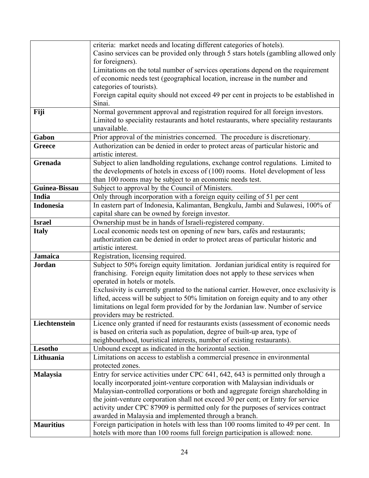|                  | criteria: market needs and locating different categories of hotels).                   |
|------------------|----------------------------------------------------------------------------------------|
|                  | Casino services can be provided only through 5 stars hotels (gambling allowed only     |
|                  | for foreigners).                                                                       |
|                  | Limitations on the total number of services operations depend on the requirement       |
|                  | of economic needs test (geographical location, increase in the number and              |
|                  | categories of tourists).                                                               |
|                  | Foreign capital equity should not exceed 49 per cent in projects to be established in  |
|                  | Sinai.                                                                                 |
| Fiji             | Normal government approval and registration required for all foreign investors.        |
|                  | Limited to speciality restaurants and hotel restaurants, where speciality restaurants  |
|                  | unavailable.                                                                           |
| Gabon            | Prior approval of the ministries concerned. The procedure is discretionary.            |
| <b>Greece</b>    | Authorization can be denied in order to protect areas of particular historic and       |
|                  | artistic interest.                                                                     |
| <b>Grenada</b>   | Subject to alien landholding regulations, exchange control regulations. Limited to     |
|                  |                                                                                        |
|                  | the developments of hotels in excess of $(100)$ rooms. Hotel development of less       |
|                  | than 100 rooms may be subject to an economic needs test.                               |
| Guinea-Bissau    | Subject to approval by the Council of Ministers.                                       |
| India            | Only through incorporation with a foreign equity ceiling of 51 per cent                |
| <b>Indonesia</b> | In eastern part of Indonesia, Kalimantan, Bengkulu, Jambi and Sulawesi, 100% of        |
|                  | capital share can be owned by foreign investor.                                        |
| <b>Israel</b>    | Ownership must be in hands of Israeli-registered company.                              |
| <b>Italy</b>     | Local economic needs test on opening of new bars, cafés and restaurants;               |
|                  | authorization can be denied in order to protect areas of particular historic and       |
|                  | artistic interest.                                                                     |
| <b>Jamaica</b>   | Registration, licensing required.                                                      |
| <b>Jordan</b>    | Subject to 50% foreign equity limitation. Jordanian juridical entity is required for   |
|                  | franchising. Foreign equity limitation does not apply to these services when           |
|                  | operated in hotels or motels.                                                          |
|                  | Exclusivity is currently granted to the national carrier. However, once exclusivity is |
|                  | lifted, access will be subject to 50% limitation on foreign equity and to any other    |
|                  | limitations on legal form provided for by the Jordanian law. Number of service         |
|                  | providers may be restricted.                                                           |
| Liechtenstein    | Licence only granted if need for restaurants exists (assessment of economic needs      |
|                  | is based on criteria such as population, degree of built-up area, type of              |
|                  | neighbourhood, touristical interests, number of existing restaurants).                 |
| Lesotho          | Unbound except as indicated in the horizontal section.                                 |
| Lithuania        | Limitations on access to establish a commercial presence in environmental              |
|                  | protected zones.                                                                       |
| <b>Malaysia</b>  | Entry for service activities under CPC 641, 642, 643 is permitted only through a       |
|                  | locally incorporated joint-venture corporation with Malaysian individuals or           |
|                  | Malaysian-controlled corporations or both and aggregate foreign shareholding in        |
|                  | the joint-venture corporation shall not exceed 30 per cent; or Entry for service       |
|                  | activity under CPC 87909 is permitted only for the purposes of services contract       |
|                  | awarded in Malaysia and implemented through a branch.                                  |
| <b>Mauritius</b> | Foreign participation in hotels with less than 100 rooms limited to 49 per cent. In    |
|                  | hotels with more than 100 rooms full foreign participation is allowed: none.           |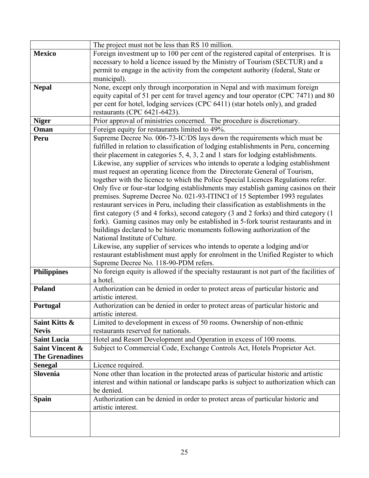|                            | The project must not be less than RS 10 million.                                          |
|----------------------------|-------------------------------------------------------------------------------------------|
| <b>Mexico</b>              | Foreign investment up to 100 per cent of the registered capital of enterprises. It is     |
|                            | necessary to hold a licence issued by the Ministry of Tourism (SECTUR) and a              |
|                            | permit to engage in the activity from the competent authority (federal, State or          |
|                            | municipal).                                                                               |
| <b>Nepal</b>               | None, except only through incorporation in Nepal and with maximum foreign                 |
|                            | equity capital of 51 per cent for travel agency and tour operator (CPC 7471) and 80       |
|                            | per cent for hotel, lodging services (CPC 6411) (star hotels only), and graded            |
|                            | restaurants (CPC 6421-6423).                                                              |
| <b>Niger</b>               | Prior approval of ministries concerned. The procedure is discretionary.                   |
| Oman                       | Foreign equity for restaurants limited to 49%.                                            |
| Peru                       | Supreme Decree No. 006-73-IC/DS lays down the requirements which must be                  |
|                            | fulfilled in relation to classification of lodging establishments in Peru, concerning     |
|                            | their placement in categories 5, 4, 3, 2 and 1 stars for lodging establishments.          |
|                            | Likewise, any supplier of services who intends to operate a lodging establishment         |
|                            | must request an operating licence from the Directorate General of Tourism,                |
|                            | together with the licence to which the Police Special Licences Regulations refer.         |
|                            | Only five or four-star lodging establishments may establish gaming casinos on their       |
|                            | premises. Supreme Decree No. 021-93-ITINCI of 15 September 1993 regulates                 |
|                            | restaurant services in Peru, including their classification as establishments in the      |
|                            | first category (5 and 4 forks), second category (3 and 2 forks) and third category (1     |
|                            | fork). Gaming casinos may only be established in 5-fork tourist restaurants and in        |
|                            | buildings declared to be historic monuments following authorization of the                |
|                            | National Institute of Culture.                                                            |
|                            | Likewise, any supplier of services who intends to operate a lodging and/or                |
|                            | restaurant establishment must apply for enrolment in the Unified Register to which        |
|                            | Supreme Decree No. 118-90-PDM refers.                                                     |
| <b>Philippines</b>         | No foreign equity is allowed if the specialty restaurant is not part of the facilities of |
|                            | a hotel.                                                                                  |
| <b>Poland</b>              | Authorization can be denied in order to protect areas of particular historic and          |
|                            | artistic interest.                                                                        |
| Portugal                   | Authorization can be denied in order to protect areas of particular historic and          |
|                            | artistic interest.                                                                        |
| Saint Kitts &              | Limited to development in excess of 50 rooms. Ownership of non-ethnic                     |
| <b>Nevis</b>               | restaurants reserved for nationals.                                                       |
| <b>Saint Lucia</b>         | Hotel and Resort Development and Operation in excess of 100 rooms.                        |
| <b>Saint Vincent &amp;</b> | Subject to Commercial Code, Exchange Controls Act, Hotels Proprietor Act.                 |
| <b>The Grenadines</b>      |                                                                                           |
| <b>Senegal</b>             | Licence required.                                                                         |
| <b>Slovenia</b>            | None other than location in the protected areas of particular historic and artistic       |
|                            | interest and within national or landscape parks is subject to authorization which can     |
|                            | be denied.                                                                                |
| <b>Spain</b>               | Authorization can be denied in order to protect areas of particular historic and          |
|                            | artistic interest.                                                                        |
|                            |                                                                                           |
|                            |                                                                                           |
|                            |                                                                                           |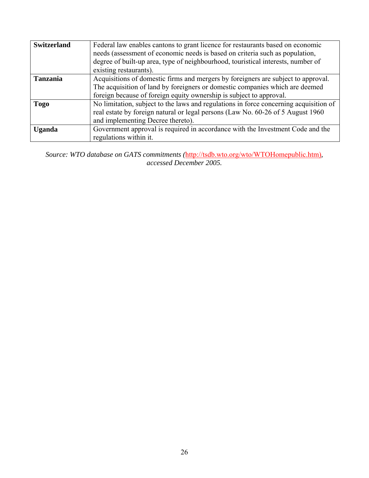| <b>Switzerland</b> | Federal law enables cantons to grant licence for restaurants based on economic<br>needs (assessment of economic needs is based on criteria such as population,<br>degree of built-up area, type of neighbourhood, touristical interests, number of<br>existing restaurants). |
|--------------------|------------------------------------------------------------------------------------------------------------------------------------------------------------------------------------------------------------------------------------------------------------------------------|
| <b>Tanzania</b>    | Acquisitions of domestic firms and mergers by foreigners are subject to approval.<br>The acquisition of land by foreigners or domestic companies which are deemed<br>foreign because of foreign equity ownership is subject to approval.                                     |
| <b>Togo</b>        | No limitation, subject to the laws and regulations in force concerning acquisition of<br>real estate by foreign natural or legal persons (Law No. 60-26 of 5 August 1960)<br>and implementing Decree thereto).                                                               |
| <b>Uganda</b>      | Government approval is required in accordance with the Investment Code and the<br>regulations within it.                                                                                                                                                                     |

*Source: WTO database on GATS commitments (*http://tsdb.wto.org/wto/WTOHomepublic.htm)*, accessed December 2005.*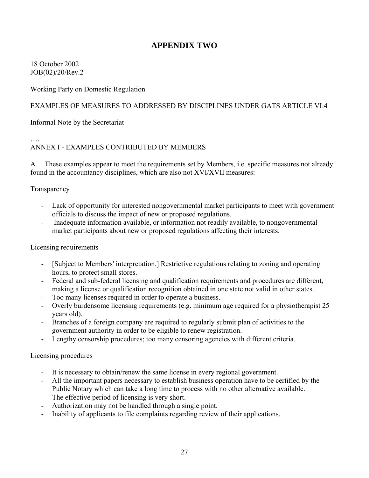## **APPENDIX TWO**

18 October 2002 JOB(02)/20/Rev.2

Working Party on Domestic Regulation

#### EXAMPLES OF MEASURES TO ADDRESSED BY DISCIPLINES UNDER GATS ARTICLE VI:4

Informal Note by the Secretariat

#### …. ANNEX I - EXAMPLES CONTRIBUTED BY MEMBERS

A These examples appear to meet the requirements set by Members, i.e. specific measures not already found in the accountancy disciplines, which are also not XVI/XVII measures:

#### Transparency

- Lack of opportunity for interested nongovernmental market participants to meet with government officials to discuss the impact of new or proposed regulations.
- Inadequate information available, or information not readily available, to nongovernmental market participants about new or proposed regulations affecting their interests.

#### Licensing requirements

- [Subject to Members' interpretation.] Restrictive regulations relating to zoning and operating hours, to protect small stores.
- Federal and sub-federal licensing and qualification requirements and procedures are different, making a license or qualification recognition obtained in one state not valid in other states.
- Too many licenses required in order to operate a business.
- Overly burdensome licensing requirements (e.g. minimum age required for a physiotherapist 25 years old).
- Branches of a foreign company are required to regularly submit plan of activities to the government authority in order to be eligible to renew registration.
- Lengthy censorship procedures; too many censoring agencies with different criteria.

Licensing procedures

- It is necessary to obtain/renew the same license in every regional government.
- All the important papers necessary to establish business operation have to be certified by the Public Notary which can take a long time to process with no other alternative available.
- The effective period of licensing is very short.
- Authorization may not be handled through a single point.
- Inability of applicants to file complaints regarding review of their applications.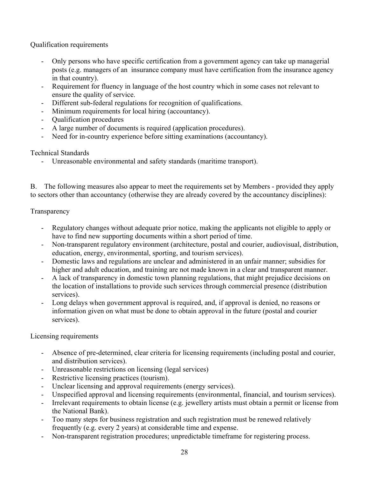Qualification requirements

- Only persons who have specific certification from a government agency can take up managerial posts (e.g. managers of an insurance company must have certification from the insurance agency in that country).
- Requirement for fluency in language of the host country which in some cases not relevant to ensure the quality of service.
- Different sub-federal regulations for recognition of qualifications.
- Minimum requirements for local hiring (accountancy).
- Qualification procedures
- A large number of documents is required (application procedures).
- Need for in-country experience before sitting examinations (accountancy).

Technical Standards

- Unreasonable environmental and safety standards (maritime transport).

B. The following measures also appear to meet the requirements set by Members - provided they apply to sectors other than accountancy (otherwise they are already covered by the accountancy disciplines):

**Transparency** 

- Regulatory changes without adequate prior notice, making the applicants not eligible to apply or have to find new supporting documents within a short period of time.
- Non-transparent regulatory environment (architecture, postal and courier, audiovisual, distribution, education, energy, environmental, sporting, and tourism services).
- Domestic laws and regulations are unclear and administered in an unfair manner; subsidies for higher and adult education, and training are not made known in a clear and transparent manner.
- A lack of transparency in domestic town planning regulations, that might prejudice decisions on the location of installations to provide such services through commercial presence (distribution services).
- Long delays when government approval is required, and, if approval is denied, no reasons or information given on what must be done to obtain approval in the future (postal and courier services).

Licensing requirements

- Absence of pre-determined, clear criteria for licensing requirements (including postal and courier, and distribution services).
- Unreasonable restrictions on licensing (legal services)
- Restrictive licensing practices (tourism).
- Unclear licensing and approval requirements (energy services).
- Unspecified approval and licensing requirements (environmental, financial, and tourism services).
- Irrelevant requirements to obtain license (e.g. jewellery artists must obtain a permit or license from the National Bank).
- Too many steps for business registration and such registration must be renewed relatively frequently (e.g. every 2 years) at considerable time and expense.
- Non-transparent registration procedures; unpredictable timeframe for registering process.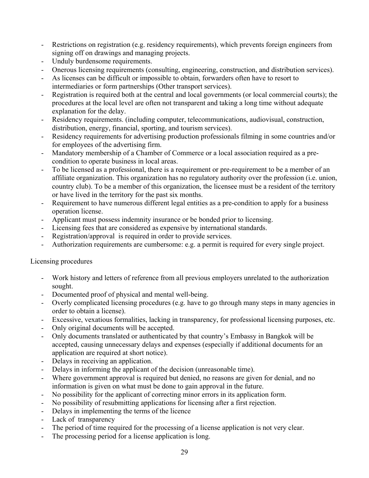- Restrictions on registration (e.g. residency requirements), which prevents foreign engineers from signing off on drawings and managing projects.
- Unduly burdensome requirements.
- Onerous licensing requirements (consulting, engineering, construction, and distribution services).
- As licenses can be difficult or impossible to obtain, forwarders often have to resort to intermediaries or form partnerships (Other transport services).
- Registration is required both at the central and local governments (or local commercial courts); the procedures at the local level are often not transparent and taking a long time without adequate explanation for the delay.
- Residency requirements. (including computer, telecommunications, audiovisual, construction, distribution, energy, financial, sporting, and tourism services).
- Residency requirements for advertising production professionals filming in some countries and/or for employees of the advertising firm.
- Mandatory membership of a Chamber of Commerce or a local association required as a precondition to operate business in local areas.
- To be licensed as a professional, there is a requirement or pre-requirement to be a member of an affiliate organization. This organization has no regulatory authority over the profession (i.e. union, country club). To be a member of this organization, the licensee must be a resident of the territory or have lived in the territory for the past six months.
- Requirement to have numerous different legal entities as a pre-condition to apply for a business operation license.
- Applicant must possess indemnity insurance or be bonded prior to licensing.
- Licensing fees that are considered as expensive by international standards.
- Registration/approval is required in order to provide services.
- Authorization requirements are cumbersome: e.g. a permit is required for every single project.

#### Licensing procedures

- Work history and letters of reference from all previous employers unrelated to the authorization sought.
- Documented proof of physical and mental well-being.
- Overly complicated licensing procedures (e.g. have to go through many steps in many agencies in order to obtain a license).
- Excessive, vexatious formalities, lacking in transparency, for professional licensing purposes, etc.
- Only original documents will be accepted.
- Only documents translated or authenticated by that country's Embassy in Bangkok will be accepted, causing unnecessary delays and expenses (especially if additional documents for an application are required at short notice).
- Delays in receiving an application.
- Delays in informing the applicant of the decision (unreasonable time).
- Where government approval is required but denied, no reasons are given for denial, and no information is given on what must be done to gain approval in the future.
- No possibility for the applicant of correcting minor errors in its application form.
- No possibility of resubmitting applications for licensing after a first rejection.
- Delays in implementing the terms of the licence
- Lack of transparency
- The period of time required for the processing of a license application is not very clear.
- The processing period for a license application is long.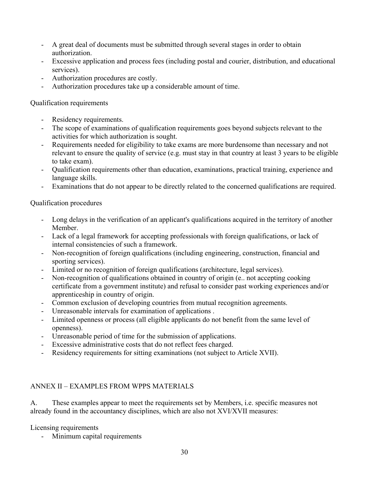- A great deal of documents must be submitted through several stages in order to obtain authorization.
- Excessive application and process fees (including postal and courier, distribution, and educational services).
- Authorization procedures are costly.
- Authorization procedures take up a considerable amount of time.

### Qualification requirements

- Residency requirements.
- The scope of examinations of qualification requirements goes beyond subjects relevant to the activities for which authorization is sought.
- Requirements needed for eligibility to take exams are more burdensome than necessary and not relevant to ensure the quality of service (e.g. must stay in that country at least 3 years to be eligible to take exam).
- Qualification requirements other than education, examinations, practical training, experience and language skills.
- Examinations that do not appear to be directly related to the concerned qualifications are required.

## Qualification procedures

- Long delays in the verification of an applicant's qualifications acquired in the territory of another Member.
- Lack of a legal framework for accepting professionals with foreign qualifications, or lack of internal consistencies of such a framework.
- Non-recognition of foreign qualifications (including engineering, construction, financial and sporting services).
- Limited or no recognition of foreign qualifications (architecture, legal services).
- Non-recognition of qualifications obtained in country of origin (e.. not accepting cooking certificate from a government institute) and refusal to consider past working experiences and/or apprenticeship in country of origin.
- Common exclusion of developing countries from mutual recognition agreements.
- Unreasonable intervals for examination of applications .
- Limited openness or process (all eligible applicants do not benefit from the same level of openness).
- Unreasonable period of time for the submission of applications.
- Excessive administrative costs that do not reflect fees charged.
- Residency requirements for sitting examinations (not subject to Article XVII).

## ANNEX II – EXAMPLES FROM WPPS MATERIALS

A. These examples appear to meet the requirements set by Members, i.e. specific measures not already found in the accountancy disciplines, which are also not XVI/XVII measures:

Licensing requirements

Minimum capital requirements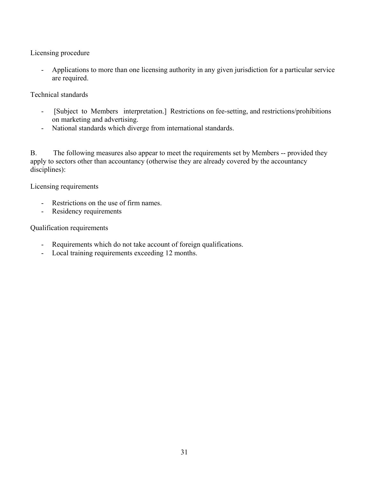Licensing procedure

- Applications to more than one licensing authority in any given jurisdiction for a particular service are required.

Technical standards

- [Subject to Members interpretation.] Restrictions on fee-setting, and restrictions/prohibitions on marketing and advertising.
- National standards which diverge from international standards.

B. The following measures also appear to meet the requirements set by Members -- provided they apply to sectors other than accountancy (otherwise they are already covered by the accountancy disciplines):

Licensing requirements

- Restrictions on the use of firm names.
- Residency requirements

Qualification requirements

- Requirements which do not take account of foreign qualifications.
- Local training requirements exceeding 12 months.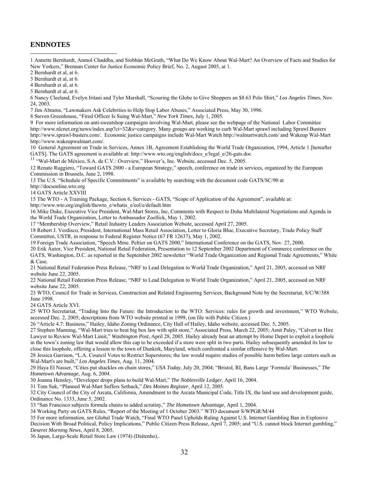#### **ENDNOTES**

 $\overline{a}$ 

1 Annette Bernhardt, Anmol Chaddha, and Siobhán McGrath, "What Do We Know About Wal-Mart? An Overview of Facts and Studies for New Yorkers," Brennan Center for Justice Economic Policy Brief, No. 2, August 2005, at 1.

2 Bernhardt et al, at 6.

3 Bernhardt et al, at 6.

4 Bernhardt et al, at 6.

5 Bernhardt et al, at 6.

6 Nancy Cleeland, Evelyn Iritani and Tyler Marshall, "[Scouring the Globe to Give Shoppers an \\$8.63 Polo Shirt](http://www.latimes.com/business/la-fi-walmart24nov2403,1,2186851.story)," *Los Angeles Times*, Nov. 24, 2003.

7 Jim Abrams, "Lawmakers Ask Celebrities to Help Stop Labor Abuses," Associated Press, May 30, 1996.

8 Steven Greenhouse, "Fired Officer Is Suing Wal-Mart," *New York Times*, July 1, 2005.

9 For more information on anti-sweatshop campaigns involving Wal-Mart, please see the webpage of the National Labor Committee [http://www.nlcnet.org/news/index.asp?ci=32&s=category.](http://www.nlcnet.org/news/index.asp?ci=32&s=category) Many groups are working to curb Wal-Mart sprawl including Sprawl Busters <http://www.sprawl-busters.com/>. Economic justice campaigns include Wal-Mart Watch <http://walmartwatch.com/> and Wakeup Wal-Mart <http://www.wakeupwalmart.com/>.

10 General Agreement on Trade in Services, Annex 1B, Agreement Establishing the World Trade Organization, 1994, Article 1 [hereafter GATS]. The GATS agreement is available at: http://www.wto.org/english/docs\_e/legal\_e/26-gats.doc <sup>11</sup> "Wal-Mart de México, S.A. de C.V.: Overview," Hoover's, Inc. Website, accessed Dec. 5, 2005.

12 Renato Ruggiero, "Toward GATS 2000 - a European Strategy," speech, conference on trade in services, organized by the European Commission in Brussels, June 2, 1998.

13 The U.S. "Schedule of Specific Commitments" is available by searching with the document code GATS/SC/90 at

http://docsonline.wto.org

14 GATS Article XXVIII

15 The WTO - A Training Package, Section 6, Services - GATS, "Scope of Application of the Agreement", available at:

http://www.wto.org/english/thewto\_e/whatis\_e/eol/e/default.htm

16 Mike Duke, Executive Vice President, Wal-Mart Stores, Inc, Comments with Respect to Doha Multilateral Negotiations and Agenda in the World Trade Organization, Letter to Ambassador Zoellick, May 1, 2002.

17 "Membership Overview," Retail Industry Leaders Association Website, accessed April 27, 2005.

18 Robert J. Verdisco, President, International Mass Retail Association, Letter to Gloria Blue, Executive Secretary, Trade Policy Staff Committee, USTR, in response to Federal Register Notice (67 FR 12637), May 1, 2002.

19 Foreign Trade Association, "Speech Mme. Peltier on GATS 2000," International Conference on the GATS, Nov. 27, 2000.

20 Erik Autor, Vice President, National Retail Federation, Presentation to 12 September 2002 Department of Commerce conference on the GATS, Washington, D.C. as reported in the September 2002 newsletter "World Trade Organization and Regional Trade Agreements," White & Case.

21 National Retail Federation Press Release, "NRF to Lead Delegation to World Trade Organization," April 21, 2005, accessed on NRF website June 22, 2005.

22 National Retail Federation Press Release, "NRF to Lead Delegation to World Trade Organization," April 21, 2005, accessed on NRF website June 22, 2005.

23 WTO, Council for Trade in Services, Construction and Related Engineering Services, Background Note by the Secretariat, S/C/W/388 June 1998.

24 GATS Article XVI.

25 WTO Secretariat, "Trading Into the Future: the Introduction to the WTO: Services: rules for growth and investment," WTO Website, accessed Dec. 2, 2005; descriptions from WTO website printed in 1999, (on file with Public Citizen.)

26 "Article 4.7: Business," Hailey, Idaho Zoning Ordinance, City Hall of Hailey, Idaho website, accessed Dec. 5, 2005.

27 Stephen Manning, "Wal-Mart tries to beat big box law with split store," Associated Press, March 22, 2005; Amit Paley, "Calvert to Hire Lawyer to Review Wal-Mart Limit," *Washington Post*, April 28, 2005. Hailey already beat an attempt by Home Depot to exploit a loophole in the town's zoning law that would allow this cap to be exceeded if a store were split in two parts. Hailey subsequently amended its law to close this loophole, offering a lesson to the town of Dunkirk, Maryland, which confronted a similar offensive by Wal-Mart.

28 Jessica Garrison, "L.A. Council Votes to Restrict Superstores; the law would require studies of possible harm before large centers such as Wal-Mart's are built," *Los Angeles Times*, Aug. 11, 2004.

29 Haya El Nasser, "Cities put shackles on chain stores," *USA Today*, July 20, 2004; "Bristol, RI, Bans Large 'Formula' Businesses," *The Hometown Advantage*, Aug. 6, 2004.

30 Joanna Hensley, "Developer drops plans to build Wal-Mart," *The Noblesville Ledger*, April 16, 2004.

31 Tom Suk, "Planned Wal-Mart Suffers Setback," *Des Moines Register*, April 12, 2005.

32 City Council of the City of Arcata, California, Amendment to the Arcata Municipal Code, Title IX, the land use and development guide, Ordinance No. 1333, June 5, 2002.

33 "San Francisco subjects formula chains to added scrutiny," *The Hometown Advantage*, April 1, 2004.

34 Working Party on GATS Rules, "Report of the Meeting of 1 October 2003." WTO document S/WPGR/M/44

35 For more information, *see* Global Trade Watch, "Final WTO Panel Upholds Ruling Against U.S. Internet Gambling Ban in Explosive Decision With Broad Political, Policy Implications," Public Citizen Press Release, April 7, 2005; and "U.S. cannot block Internet gambling," *Deseret Morning News*, April 8, 2005.

36 Japan, Large-Scale Retail Store Law (1974) (Daitenho)..